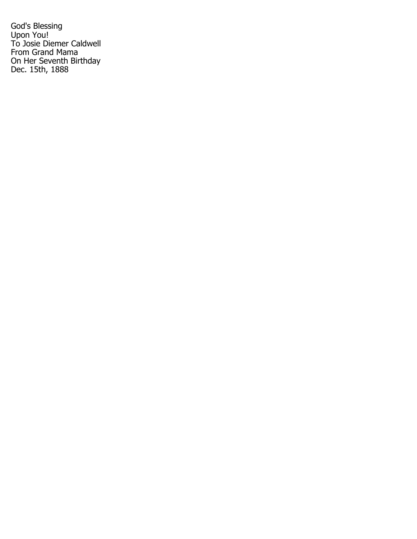God's Blessing Upon You! To Josie Diemer Caldwell From Grand Mama On Her Seventh Birthday Dec. 15th, 1888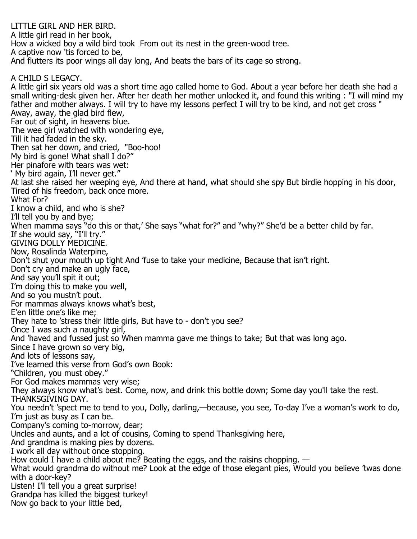LITTLE GIRL AND HER BIRD. A little girl read in her book, How a wicked boy a wild bird took From out its nest in the green-wood tree. A captive now 'tis forced to be, And flutters its poor wings all day long, And beats the bars of its cage so strong. A CHILD S LEGACY. A little girl six years old was a short time ago called home to God. About a year before her death she had a small writing-desk given her. After her death her mother unlocked it, and found this writing : "I will mind my father and mother always. I will try to have my lessons perfect I will try to be kind, and not get cross " Away, away, the glad bird flew, Far out of sight, in heavens blue. The wee girl watched with wondering eye, Till it had faded in the sky. Then sat her down, and cried, "Boo-hoo! My bird is gone! What shall I do?" Her pinafore with tears was wet: ' My bird again, I'll never get." At last she raised her weeping eye, And there at hand, what should she spy But birdie hopping in his door, Tired of his freedom, back once more. What For? I know a child, and who is she? I'll tell you by and bye; When mamma says "do this or that,' She says "what for?" and "why?" She'd be a better child by far. If she would say, "I'll try." GIVING DOLLY MEDICINE. Now, Rosalinda Waterpine, Don't shut your mouth up tight And 'fuse to take your medicine, Because that isn't right. Don't cry and make an ugly face, And say you'll spit it out; I'm doing this to make you well, And so you mustn't pout. For mammas always knows what's best, E'en little one's like me; They hate to 'stress their little girls, But have to - don't you see? Once I was such a naughty girl, And 'haved and fussed just so When mamma gave me things to take; But that was long ago. Since I have grown so very big, And lots of lessons say, I've learned this verse from God's own Book: "Children, you must obey." For God makes mammas very wise; They always know what's best. Come, now, and drink this bottle down; Some day you'll take the rest. THANKSGIVING DAY. You needn't 'spect me to tend to you, Dolly, darling,—because, you see, To-day I've a woman's work to do, I'm just as busy as I can be. Company's coming to-morrow, dear; Uncles and aunts, and a lot of cousins, Coming to spend Thanksgiving here, And grandma is making pies by dozens. I work all day without once stopping. How could I have a child about me? Beating the eggs, and the raisins chopping. — What would grandma do without me? Look at the edge of those elegant pies, Would you believe 'twas done with a door-key? Listen! I'll tell you a great surprise! Grandpa has killed the biggest turkey! Now go back to your little bed,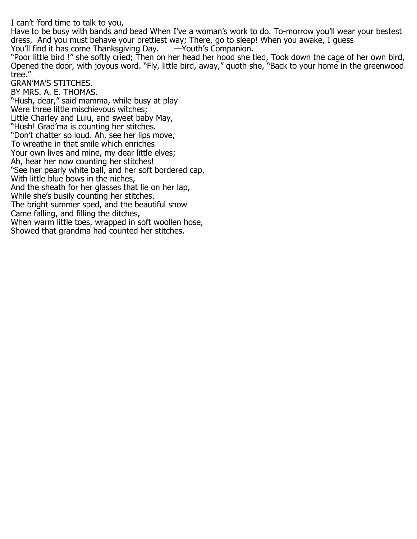I can't 'ford time to talk to you,

Have to be busy with bands and bead When I've a woman's work to do. To-morrow you'll wear your bestest dress, And you must behave your prettiest way; There, go to sleep! When you awake, I guess

You'll find it has come Thanksgiving Day. — Youth's Companion.

"Poor little bird !" she softly cried; Then on her head her hood she tied, Took down the cage of her own bird, Opened the door, with joyous word. "Fly, little bird, away," quoth she, "Back to your home in the greenwood tree."

GRAN'MA'S STITCHES.

BY MRS. A. E. THOMAS.

"Hush, dear," said mamma, while busy at play

Were three little mischievous witches:

Little Charley and Lulu, and sweet baby May,

"Hush! Grad'ma is counting her stitches.

"Don't chatter so loud. Ah, see her lips move,

To wreathe in that smile which enriches

Your own lives and mine, my dear little elves;

Ah, hear her now counting her stitches!

"See her pearly white ball, and her soft bordered cap,

With little blue bows in the niches,

And the sheath for her glasses that lie on her lap,

While she's busily counting her stitches.

The bright summer sped, and the beautiful snow

Came falling, and filling the ditches,

When warm little toes, wrapped in soft woollen hose,

Showed that grandma had counted her stitches.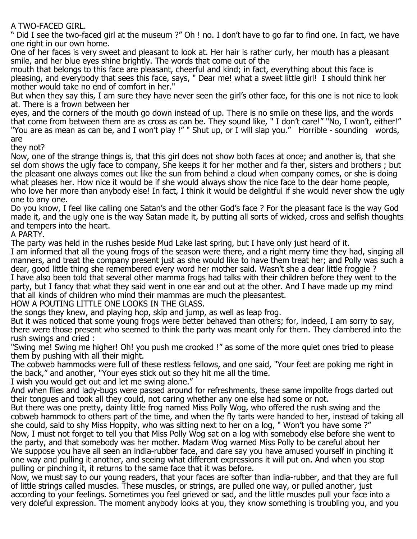## A TWO-FACED GIRL.

" Did I see the two-faced girl at the museum ?" Oh ! no. I don't have to go far to find one. In fact, we have one right in our own home.

One of her faces is very sweet and pleasant to look at. Her hair is rather curly, her mouth has a pleasant smile, and her blue eyes shine brightly. The words that come out of the

mouth that belongs to this face are pleasant, cheerful and kind; in fact, everything about this face is pleasing, and everybody that sees this face, says, " Dear me! what a sweet little girl! I should think her mother would take no end of comfort in her."

But when they say this, I am sure they have never seen the girl's other face, for this one is not nice to look at. There is a frown between her

eyes, and the corners of the mouth go down instead of up. There is no smile on these lips, and the words that come from between them are as cross as can be. They sound like, " I don't care!" "No, I won't, either!" "You are as mean as can be, and I won't play !" " Shut up, or I will slap you." Horrible - sounding words, are

they not?

Now, one of the strange things is, that this girl does not show both faces at once; and another is, that she sel dom shows the ugly face to company, She keeps it for her mother and fa ther, sisters and brothers ; but the pleasant one always comes out like the sun from behind a cloud when company comes, or she is doing what pleases her. How nice it would be if she would always show the nice face to the dear home people, who love her more than anybody else! In fact, I think it would be delightful if she would never show the ugly one to any one.

Do you know, I feel like calling one Satan's and the other God's face ? For the pleasant face is the way God made it, and the ugly one is the way Satan made it, by putting all sorts of wicked, cross and selfish thoughts and tempers into the heart.

## A PARTY.

The party was held in the rushes beside Mud Lake last spring, but I have only just heard of it.

I am informed that all the young frogs of the season were there, and a right merry time they had, singing all manners, and treat the company present just as she would like to have them treat her; and Polly was such a dear, good little thing she remembered every word her mother said. Wasn't she a dear little froggie ? I have also been told that several other mamma frogs had talks with their children before they went to the party, but I fancy that what they said went in one ear and out at the other. And I have made up my mind that all kinds of children who mind their mammas are much the pleasantest.

HOW A POUTING LITTLE ONE LOOKS IN THE GLASS.

the songs they knew, and playing hop, skip and jump, as well as leap frog.

But it was noticed that some young frogs were better behaved than others; for, indeed, I am sorry to say, there were those present who seemed to think the party was meant only for them. They clambered into the rush swings and cried :

"Swing me! Swing me higher! Oh! you push me crooked !" as some of the more quiet ones tried to please them by pushing with all their might.

The cobweb hammocks were full of these restless fellows, and one said, "Your feet are poking me right in the back," and another, "Your eyes stick out so they hit me all the time.

I wish you would get out and let me swing alone."

And when flies and lady-bugs were passed around for refreshments, these same impolite frogs darted out their tongues and took all they could, not caring whether any one else had some or not.

But there was one pretty, dainty little frog named Miss Polly Wog, who offered the rush swing and the cobweb hammock to others part of the time, and when the fly tarts were handed to her, instead of taking all she could, said to shy Miss Hoppity, who was sitting next to her on a log, " Won't you have some ?" Now, I must not forget to tell you that Miss Polly Wog sat on a log with somebody else before she went to the party, and that somebody was her mother. Madam Wog warned Miss Polly to be careful about her We suppose you have all seen an india-rubber face, and dare say you have amused yourself in pinching it one way and pulling it another, and seeing what different expressions it will put on. And when you stop pulling or pinching it, it returns to the same face that it was before.

Now, we must say to our young readers, that your faces are softer than india-rubber, and that they are full of little strings called muscles. These muscles, or strings, are pulled one way, or pulled another, just according to your feelings. Sometimes you feel grieved or sad, and the little muscles pull your face into a very doleful expression. The moment anybody looks at you, they know something is troubling you, and you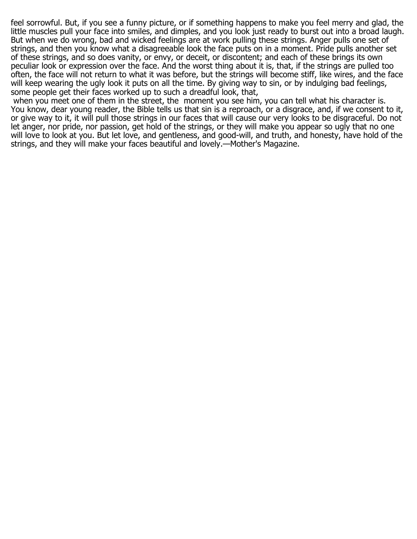feel sorrowful. But, if you see a funny picture, or if something happens to make you feel merry and glad, the little muscles pull your face into smiles, and dimples, and you look just ready to burst out into a broad laugh. But when we do wrong, bad and wicked feelings are at work pulling these strings. Anger pulls one set of strings, and then you know what a disagreeable look the face puts on in a moment. Pride pulls another set of these strings, and so does vanity, or envy, or deceit, or discontent; and each of these brings its own peculiar look or expression over the face. And the worst thing about it is, that, if the strings are pulled too often, the face will not return to what it was before, but the strings will become stiff, like wires, and the face will keep wearing the ugly look it puts on all the time. By giving way to sin, or by indulging bad feelings, some people get their faces worked up to such a dreadful look, that,

when you meet one of them in the street, the moment you see him, you can tell what his character is. You know, dear young reader, the Bible tells us that sin is a reproach, or a disgrace, and, if we consent to it, or give way to it, it will pull those strings in our faces that will cause our very looks to be disgraceful. Do not let anger, nor pride, nor passion, get hold of the strings, or they will make you appear so ugly that no one will love to look at you. But let love, and gentleness, and good-will, and truth, and honesty, have hold of the strings, and they will make your faces beautiful and lovely.—Mother's Magazine.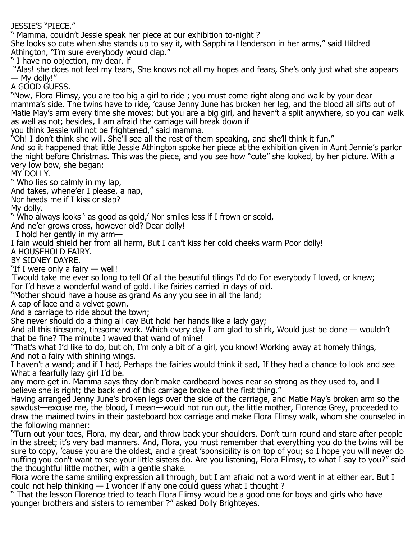JESSIE'S "PIECE."

" Mamma, couldn't Jessie speak her piece at our exhibition to-night ?

She looks so cute when she stands up to say it, with Sapphira Henderson in her arms," said Hildred Athington, "I'm sure everybody would clap."

" I have no objection, my dear, if

 "Alas! she does not feel my tears, She knows not all my hopes and fears, She's only just what she appears — My dolly!''

A GOOD GUESS.

"Now, Flora Flimsy, you are too big a girl to ride ; you must come right along and walk by your dear mamma's side. The twins have to ride, 'cause Jenny June has broken her leg, and the blood all sifts out of Matie May's arm every time she moves; but you are a big girl, and haven't a split anywhere, so you can walk as well as not; besides, I am afraid the carriage will break down if

you think Jessie will not be frightened," said mamma.

"Oh! I don't think she will. She'll see all the rest of them speaking, and she'll think it fun."

And so it happened that little Jessie Athington spoke her piece at the exhibition given in Aunt Jennie's parlor the night before Christmas. This was the piece, and you see how "cute" she looked, by her picture. With a very low bow, she began:

MY DOLLY.

" Who lies so calmly in my lap,

And takes, whene'er I please, a nap,

Nor heeds me if I kiss or slap?

My dolly.

" Who always looks ' as good as gold,' Nor smiles less if I frown or scold,

And ne'er grows cross, however old? Dear dolly!

I hold her gently in my arm—

I fain would shield her from all harm, But I can't kiss her cold cheeks warm Poor dolly!

A HOUSEHOLD FAIRY.

BY SIDNEY DAYRE.

"If I were only a fairy — well!

'Twould take me ever so long to tell Of all the beautiful tilings I'd do For everybody I loved, or knew; For I'd have a wonderful wand of gold. Like fairies carried in days of old.

"Mother should have a house as grand As any you see in all the land;

A cap of lace and a velvet gown,

And a carriage to ride about the town;

She never should do a thing all day But hold her hands like a lady gay;

And all this tiresome, tiresome work. Which every day I am glad to shirk, Would just be done — wouldn't that be fine? The minute I waved that wand of mine!

"That's what I'd like to do, but oh, I'm only a bit of a girl, you know! Working away at homely things, And not a fairy with shining wings.

I haven't a wand; and if I had, Perhaps the fairies would think it sad, If they had a chance to look and see What a fearfully lazy girl I'd be.

any more get in. Mamma says they don't make cardboard boxes near so strong as they used to, and I believe she is right; the back end of this carriage broke out the first thing."

Having arranged Jenny June's broken legs over the side of the carriage, and Matie May's broken arm so the sawdust—excuse me, the blood, I mean—would not run out, the little mother, Florence Grey, proceeded to draw the maimed twins in their pasteboard box carriage and make Flora Flimsy walk, whom she counseled in the following manner:

"Turn out your toes, Flora, my dear, and throw back your shoulders. Don't turn round and stare after people in the street; it's very bad manners. And, Flora, you must remember that everything you do the twins will be sure to copy, 'cause you are the oldest, and a great 'sponsibility is on top of you; so I hope you will never do nuffing you don't want to see your little sisters do. Are you listening, Flora Flimsy, to what I say to you?" said the thoughtful little mother, with a gentle shake.

Flora wore the same smiling expression all through, but I am afraid not a word went in at either ear. But I could not help thinking  $-1$  wonder if any one could guess what I thought?

" That the lesson Florence tried to teach Flora Flimsy would be a good one for boys and girls who have younger brothers and sisters to remember ?" asked Dolly Brighteyes.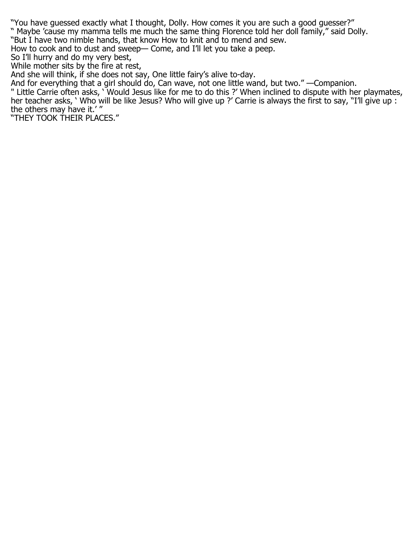"You have guessed exactly what I thought, Dolly. How comes it you are such a good guesser?" " Maybe 'cause my mamma tells me much the same thing Florence told her doll family," said Dolly. "But I have two nimble hands, that know How to knit and to mend and sew.

How to cook and to dust and sweep— Come, and I'll let you take a peep.

So I'll hurry and do my very best,

While mother sits by the fire at rest,

And she will think, if she does not say, One little fairy's alive to-day.

And for everything that a girl should do, Can wave, not one little wand, but two." —Companion.

" Little Carrie often asks, ' Would Jesus like for me to do this ?' When inclined to dispute with her playmates, her teacher asks, ' Who will be like Jesus? Who will give up ?' Carrie is always the first to say, "I'll give up : the others may have it.'"

"THEY TOOK THEIR PLACES."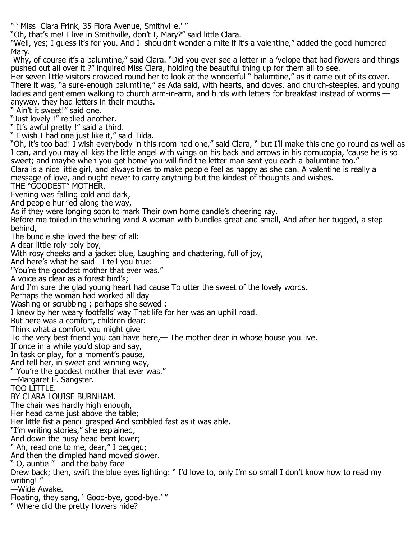" ' Miss Clara Frink, 35 Flora Avenue, Smithville.' "

"Oh, that's me! I live in Smithville, don't I, Mary?" said little Clara.

"Well, yes; I guess it's for you. And I shouldn't wonder a mite if it's a valentine," added the good-humored Mary.

Why, of course it's a balumtine," said Clara. "Did you ever see a letter in a 'velope that had flowers and things pushed out all over it ?" inquired Miss Clara, holding the beautiful thing up for them all to see.

Her seven little visitors crowded round her to look at the wonderful " balumtine," as it came out of its cover. There it was, "a sure-enough balumtine," as Ada said, with hearts, and doves, and church-steeples, and young ladies and gentlemen walking to church arm-in-arm, and birds with letters for breakfast instead of worms anyway, they had letters in their mouths.

" Ain't it sweet!" said one.

"Just lovely !" replied another.

" It's awful pretty !" said a third.

" I wish I had one just like it," said Tilda.

"Oh, it's too bad! I wish everybody in this room had one," said Clara, " but I'll make this one go round as well as I can, and you may all kiss the little angel with wings on his back and arrows in his cornucopia, 'cause he is so sweet; and maybe when you get home you will find the letter-man sent you each a balumtine too." Clara is a nice little girl, and always tries to make people feel as happy as she can. A valentine is really a message of love, and ought never to carry anything but the kindest of thoughts and wishes. THE "GOODEST" MOTHER.

Evening was falling cold and dark,

And people hurried along the way,

As if they were longing soon to mark Their own home candle's cheering ray.

Before me toiled in the whirling wind A woman with bundles great and small, And after her tugged, a step behind,

The bundle she loved the best of all:

A dear little roly-poly boy,

With rosy cheeks and a jacket blue, Laughing and chattering, full of joy,

And here's what he said—I tell you true:

"You're the goodest mother that ever was."

A voice as clear as a forest bird's;

And I'm sure the glad young heart had cause To utter the sweet of the lovely words.

Perhaps the woman had worked all day

Washing or scrubbing ; perhaps she sewed ;

I knew by her weary footfalls' way That life for her was an uphill road.

But here was a comfort, children dear:

Think what a comfort you might give

To the very best friend you can have here,— The mother dear in whose house you live.

If once in a while you'd stop and say,

In task or play, for a moment's pause,

And tell her, in sweet and winning way,

" You're the goodest mother that ever was."

—Margaret E. Sangster.

TOO LITTLE.

BY CLARA LOUISE BURNHAM.

The chair was hardly high enough,

Her head came just above the table;

Her little fist a pencil grasped And scribbled fast as it was able.

"I'm writing stories," she explained,

And down the busy head bent lower;

" Ah, read one to me, dear," I begged;

And then the dimpled hand moved slower.

" O, auntie "—and the baby face

Drew back; then, swift the blue eyes lighting: " I'd love to, only I'm so small I don't know how to read my writing! "

—Wide Awake.

Floating, they sang, ' Good-bye, good-bye.' "

" Where did the pretty flowers hide?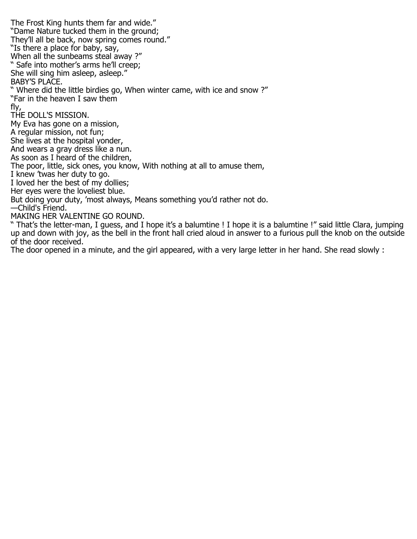The Frost King hunts them far and wide." "Dame Nature tucked them in the ground; They'll all be back, now spring comes round." "Is there a place for baby, say, When all the sunbeams steal away ?" " Safe into mother's arms he'll creep; She will sing him asleep, asleep." BABY'S PLACE. " Where did the little birdies go, When winter came, with ice and snow ?" "Far in the heaven I saw them fly, THE DOLL'S MISSION. My Eva has gone on a mission, A regular mission, not fun; She lives at the hospital yonder, And wears a gray dress like a nun. As soon as I heard of the children, The poor, little, sick ones, you know, With nothing at all to amuse them, I knew 'twas her duty to go. I loved her the best of my dollies; Her eyes were the loveliest blue. But doing your duty, 'most always, Means something you'd rather not do. —Child's Friend. MAKING HER VALENTINE GO ROUND. " That's the letter-man, I guess, and I hope it's a balumtine ! I hope it is a balumtine !" said little Clara, jumping

up and down with joy, as the bell in the front hall cried aloud in answer to a furious pull the knob on the outside of the door received.

The door opened in a minute, and the girl appeared, with a very large letter in her hand. She read slowly :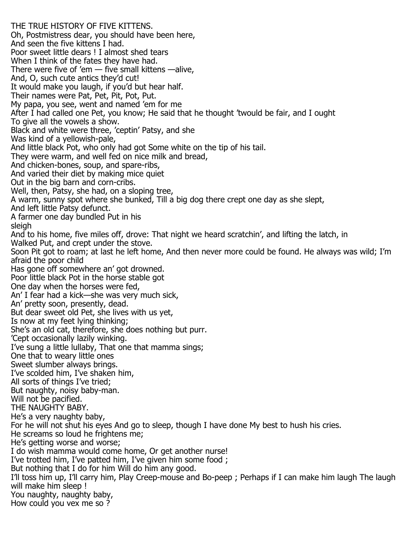THE TRUE HISTORY OF FIVE KITTENS. Oh, Postmistress dear, you should have been here, And seen the five kittens I had. Poor sweet little dears ! I almost shed tears When I think of the fates they have had. There were five of 'em  $-$  five small kittens  $-$ alive, And, O, such cute antics they'd cut! It would make you laugh, if you'd but hear half. Their names were Pat, Pet, Pit, Pot, Put. My papa, you see, went and named 'em for me After I had called one Pet, you know; He said that he thought 'twould be fair, and I ought To give all the vowels a show. Black and white were three, 'ceptin' Patsy, and she Was kind of a yellowish-pale, And little black Pot, who only had got Some white on the tip of his tail. They were warm, and well fed on nice milk and bread, And chicken-bones, soup, and spare-ribs, And varied their diet by making mice quiet Out in the big barn and corn-cribs. Well, then, Patsy, she had, on a sloping tree, A warm, sunny spot where she bunked, Till a big dog there crept one day as she slept, And left little Patsy defunct. A farmer one day bundled Put in his sleigh And to his home, five miles off, drove: That night we heard scratchin', and lifting the latch, in Walked Put, and crept under the stove. Soon Pit got to roam; at last he left home, And then never more could be found. He always was wild; I'm afraid the poor child Has gone off somewhere an' got drowned. Poor little black Pot in the horse stable got One day when the horses were fed, An' I fear had a kick—she was very much sick, An' pretty soon, presently, dead. But dear sweet old Pet, she lives with us yet, Is now at my feet lying thinking; She's an old cat, therefore, she does nothing but purr. 'Cept occasionally lazily winking. I've sung a little lullaby, That one that mamma sings; One that to weary little ones Sweet slumber always brings. I've scolded him, I've shaken him, All sorts of things I've tried; But naughty, noisy baby-man. Will not be pacified. THE NAUGHTY BABY. He's a very naughty baby, For he will not shut his eyes And go to sleep, though I have done My best to hush his cries. He screams so loud he frightens me; He's getting worse and worse; I do wish mamma would come home, Or get another nurse! I've trotted him, I've patted him, I've given him some food ; But nothing that I do for him Will do him any good. I'll toss him up, I'll carry him, Play Creep-mouse and Bo-peep ; Perhaps if I can make him laugh The laugh will make him sleep ! You naughty, naughty baby, How could you vex me so ?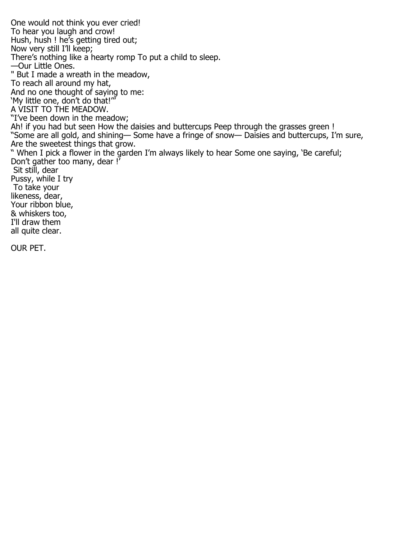One would not think you ever cried! To hear you laugh and crow! Hush, hush ! he's getting tired out; Now very still I'll keep; There's nothing like a hearty romp To put a child to sleep. —Our Little Ones. " But I made a wreath in the meadow, To reach all around my hat, And no one thought of saying to me: 'My little one, don't do that!'" A VISIT TO THE MEADOW. "I've been down in the meadow; Ah! if you had but seen How the daisies and buttercups Peep through the grasses green ! "Some are all gold, and shining— Some have a fringe of snow— Daisies and buttercups, I'm sure, Are the sweetest things that grow. " When I pick a flower in the garden I'm always likely to hear Some one saying, 'Be careful; Don't gather too many, dear !' Sit still, dear Pussy, while I try To take your likeness, dear, Your ribbon blue, & whiskers too, I'll draw them all quite clear.

OUR PET.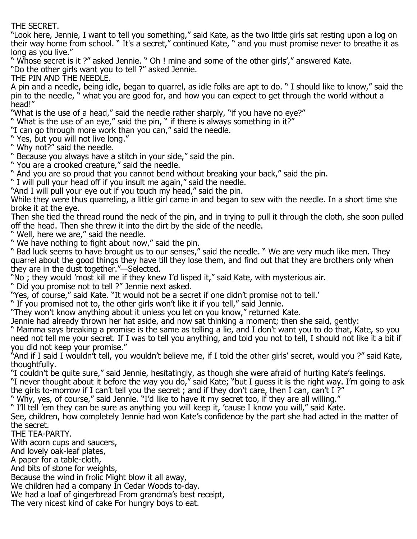THE SECRET.

"Look here, Jennie, I want to tell you something," said Kate, as the two little girls sat resting upon a log on their way home from school. " It's a secret," continued Kate, " and you must promise never to breathe it as long as you live."

" Whose secret is it ?" asked Jennie. " Oh ! mine and some of the other girls'," answered Kate.

"Do the other girls want you to tell ?" asked Jennie.

THE PIN AND THE NEEDLE.

A pin and a needle, being idle, began to quarrel, as idle folks are apt to do. " I should like to know," said the pin to the needle, " what you are good for, and how you can expect to get through the world without a head!"

"What is the use of a head," said the needle rather sharply, "if you have no eye?"

" What is the use of an eye," said the pin, " if there is always something in it?"

"I can go through more work than you can," said the needle.

" Yes, but you will not live long."

" Why not?" said the needle.

" Because you always have a stitch in your side," said the pin.

" You are a crooked creature," said the needle.

" And you are so proud that you cannot bend without breaking your back," said the pin.

" I will pull your head off if you insult me again," said the needle.

"And I will pull your eye out if you touch my head," said the pin.

While they were thus quarreling, a little girl came in and began to sew with the needle. In a short time she broke it at the eye.

Then she tied the thread round the neck of the pin, and in trying to pull it through the cloth, she soon pulled off the head. Then she threw it into the dirt by the side of the needle.

" Well, here we are," said the needle.

" We have nothing to fight about now," said the pin.

" Bad luck seems to have brought us to our senses," said the needle. " We are very much like men. They quarrel about the good things they have till they lose them, and find out that they are brothers only when they are in the dust together."—Selected.

"No ; they would 'most kill me if they knew I'd lisped it," said Kate, with mysterious air.

" Did you promise not to tell ?" Jennie next asked.

"Yes, of course," said Kate. "It would not be a secret if one didn't promise not to tell.'

" If you promised not to, the other girls won't like it if you tell," said Jennie.

"They won't know anything about it unless you let on you know," returned Kate.

Jennie had already thrown her hat aside, and now sat thinking a moment; then she said, gently:

" Mamma says breaking a promise is the same as telling a lie, and I don't want you to do that, Kate, so you need not tell me your secret. If I was to tell you anything, and told you not to tell, I should not like it a bit if you did not keep your promise."

"And if I said I wouldn't tell, you wouldn't believe me, if I told the other girls' secret, would you ?" said Kate, thoughtfully.

"I couldn't be quite sure," said Jennie, hesitatingly, as though she were afraid of hurting Kate's feelings.

"I never thought about it before the way you do," said Kate; "but I guess it is the right way. I'm going to ask the girls to-morrow if I can't tell you the secret ; and if they don't care, then I can, can't I ?"

" Why, yes, of course," said Jennie. "I'd like to have it my secret too, if they are all willing."

" I'll tell 'em they can be sure as anything you will keep it, 'cause I know you will," said Kate.

See, children, how completely Jennie had won Kate's confidence by the part she had acted in the matter of the secret.

THE TEA-PARTY.

With acorn cups and saucers,

And lovely oak-leaf plates,

A paper for a table-cloth,

And bits of stone for weights,

Because the wind in frolic Might blow it all away,

We children had a company In Cedar Woods to-day.

We had a loaf of gingerbread From grandma's best receipt,

The very nicest kind of cake For hungry boys to eat.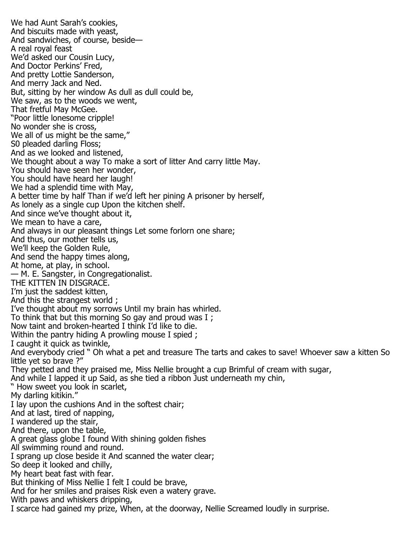We had Aunt Sarah's cookies, And biscuits made with yeast, And sandwiches, of course, beside— A real royal feast We'd asked our Cousin Lucy, And Doctor Perkins' Fred, And pretty Lottie Sanderson, And merry Jack and Ned. But, sitting by her window As dull as dull could be, We saw, as to the woods we went, That fretful May McGee. "Poor little lonesome cripple! No wonder she is cross, We all of us might be the same," S0 pleaded darling Floss; And as we looked and listened, We thought about a way To make a sort of litter And carry little May. You should have seen her wonder, You should have heard her laugh! We had a splendid time with May, A better time by half Than if we'd left her pining A prisoner by herself, As lonely as a single cup Upon the kitchen shelf. And since we've thought about it, We mean to have a care, And always in our pleasant things Let some forlorn one share; And thus, our mother tells us, We'll keep the Golden Rule, And send the happy times along, At home, at play, in school. — M. E. Sangster, in Congregationalist. THE KITTEN IN DISGRACE. I'm just the saddest kitten, And this the strangest world ; I've thought about my sorrows Until my brain has whirled. To think that but this morning So gay and proud was I ; Now taint and broken-hearted I think I'd like to die. Within the pantry hiding A prowling mouse I spied ; I caught it quick as twinkle, And everybody cried " Oh what a pet and treasure The tarts and cakes to save! Whoever saw a kitten So little yet so brave ?" They petted and they praised me, Miss Nellie brought a cup Brimful of cream with sugar, And while I lapped it up Said, as she tied a ribbon Just underneath my chin, " How sweet you look in scarlet, My darling kitikin." I lay upon the cushions And in the softest chair; And at last, tired of napping, I wandered up the stair, And there, upon the table, A great glass globe I found With shining golden fishes All swimming round and round. I sprang up close beside it And scanned the water clear; So deep it looked and chilly, My heart beat fast with fear. But thinking of Miss Nellie I felt I could be brave, And for her smiles and praises Risk even a watery grave. With paws and whiskers dripping, I scarce had gained my prize, When, at the doorway, Nellie Screamed loudly in surprise.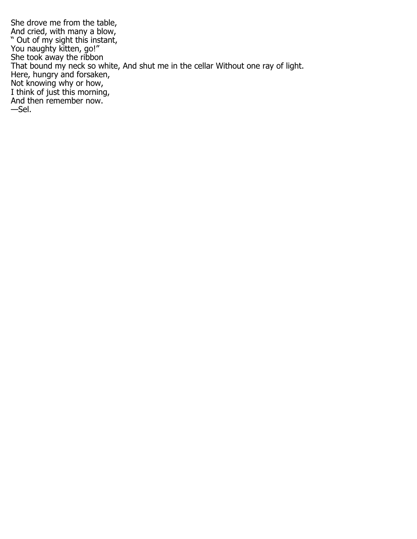She drove me from the table, And cried, with many a blow, " Out of my sight this instant, You naughty kitten, go!" She took away the ribbon That bound my neck so white, And shut me in the cellar Without one ray of light. Here, hungry and forsaken, Not knowing why or how, I think of just this morning, And then remember now. —Sel.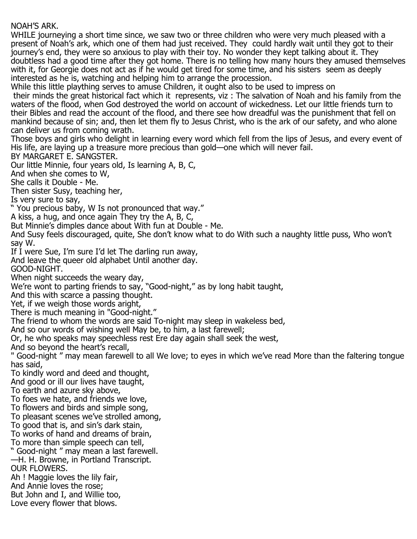## NOAH'S ARK.

WHILE journeying a short time since, we saw two or three children who were very much pleased with a present of Noah's ark, which one of them had just received. They could hardly wait until they got to their journey's end, they were so anxious to play with their toy. No wonder they kept talking about it. They doubtless had a good time after they got home. There is no telling how many hours they amused themselves with it, for Georgie does not act as if he would get tired for some time, and his sisters seem as deeply interested as he is, watching and helping him to arrange the procession.

While this little plaything serves to amuse Children, it ought also to be used to impress on

 their minds the great historical fact which it represents, viz : The salvation of Noah and his family from the waters of the flood, when God destroyed the world on account of wickedness. Let our little friends turn to their Bibles and read the account of the flood, and there see how dreadful was the punishment that fell on mankind because of sin; and, then let them fly to Jesus Christ, who is the ark of our safety, and who alone can deliver us from coming wrath.

Those boys and girls who delight in learning every word which fell from the lips of Jesus, and every event of His life, are laying up a treasure more precious than gold—one which will never fail.

BY MARGARET E. SANGSTER.

Our little Minnie, four years old, Is learning A, B, C,

And when she comes to W,

She calls it Double - Me.

Then sister Susy, teaching her,

Is very sure to say,

" You precious baby, W Is not pronounced that way."

A kiss, a hug, and once again They try the A, B, C,

But Minnie's dimples dance about With fun at Double - Me.

And Susy feels discouraged, quite, She don't know what to do With such a naughty little puss, Who won't say W.

If I were Sue, I'm sure I'd let The darling run away,

And leave the queer old alphabet Until another day.

GOOD-NIGHT.

When night succeeds the weary day,

We're wont to parting friends to say, "Good-night," as by long habit taught,

And this with scarce a passing thought.

Yet, if we weigh those words aright,

There is much meaning in "Good-night."

The friend to whom the words are said To-night may sleep in wakeless bed,

And so our words of wishing well May be, to him, a last farewell;

Or, he who speaks may speechless rest Ere day again shall seek the west,

And so beyond the heart's recall,

" Good-night " may mean farewell to all We love; to eyes in which we've read More than the faltering tongue has said,

To kindly word and deed and thought,

And good or ill our lives have taught,

To earth and azure sky above,

To foes we hate, and friends we love,

To flowers and birds and simple song,

To pleasant scenes we've strolled among,

To good that is, and sin's dark stain,

To works of hand and dreams of brain,

To more than simple speech can tell,

" Good-night " may mean a last farewell. —H. H. Browne, in Portland Transcript.

OUR FLOWERS.

Ah ! Maggie loves the lily fair,

And Annie loves the rose;

But John and I, and Willie too,

Love every flower that blows.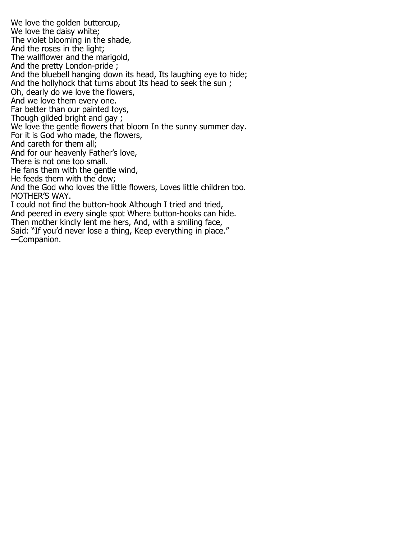We love the golden buttercup, We love the daisy white; The violet blooming in the shade, And the roses in the light; The wallflower and the marigold, And the pretty London-pride ; And the bluebell hanging down its head, Its laughing eye to hide; And the hollyhock that turns about Its head to seek the sun ; Oh, dearly do we love the flowers, And we love them every one. Far better than our painted toys, Though gilded bright and gay ; We love the gentle flowers that bloom In the sunny summer day. For it is God who made, the flowers, And careth for them all; And for our heavenly Father's love, There is not one too small. He fans them with the gentle wind, He feeds them with the dew; And the God who loves the little flowers, Loves little children too. MOTHER'S WAY. I could not find the button-hook Although I tried and tried, And peered in every single spot Where button-hooks can hide. Then mother kindly lent me hers, And, with a smiling face, Said: "If you'd never lose a thing, Keep everything in place."

—Companion.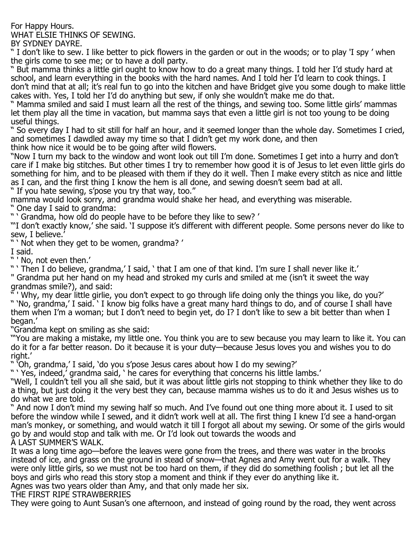For Happy Hours. WHAT ELSIE THINKS OF SEWING. BY SYDNEY DAYRE.

" I don't like to sew. I like better to pick flowers in the garden or out in the woods; or to play 'I spy ' when the girls come to see me; or to have a doll party.

" But mamma thinks a little girl ought to know how to do a great many things. I told her I'd study hard at school, and learn everything in the books with the hard names. And I told her I'd learn to cook things. I don't mind that at all; it's real fun to go into the kitchen and have Bridget give you some dough to make little cakes with. Yes, I told her I'd do anything but sew, if only she wouldn't make me do that.

" Mamma smiled and said I must learn all the rest of the things, and sewing too. Some little girls' mammas let them play all the time in vacation, but mamma says that even a little girl is not too young to be doing useful things.

" So every day I had to sit still for half an hour, and it seemed longer than the whole day. Sometimes I cried, and sometimes I dawdled away my time so that I didn't get my work done, and then think how nice it would be to be going after wild flowers.

"Now I turn my back to the window and wont look out till I'm done. Sometimes I get into a hurry and don't care if I make big stitches. But other times I try to remember how good it is of Jesus to let even little girls do something for him, and to be pleased with them if they do it well. Then I make every stitch as nice and little as I can, and the first thing I know the hem is all done, and sewing doesn't seem bad at all.

" If you hate sewing, s'pose you try that way, too."

mamma would look sorry, and grandma would shake her head, and everything was miserable.

" One day I said to grandma:

" ' Grandma, how old do people have to be before they like to sew? '

"'I don't exactly know,' she said. 'I suppose it's different with different people. Some persons never do like to sew, I believe.'

" ' Not when they get to be women, grandma? '

I said.

" ' No, not even then.'

" Then I do believe, grandma,' I said, ' that I am one of that kind. I'm sure I shall never like it.' " Grandma put her hand on my head and stroked my curls and smiled at me (isn't it sweet the way

grandmas smile?), and said:

" ' Why, my dear little girlie, you don't expect to go through life doing only the things you like, do you?' " 'No, grandma,' I said. ' I know big folks have a great many hard things to do, and of course I shall have them when I'm a woman; but I don't need to begin yet, do I? I don't like to sew a bit better than when I began.'

"Grandma kept on smiling as she said:

'"You are making a mistake, my little one. You think you are to sew because you may learn to like it. You can do it for a far better reason. Do it because it is your duty—because Jesus loves you and wishes you to do right.'

" 'Oh, grandma,' I said, 'do you s'pose Jesus cares about how I do my sewing?'

" Yes, indeed, grandma said, ' he cares for everything that concerns his little lambs.'

"Well, I couldn't tell you all she said, but it was about little girls not stopping to think whether they like to do a thing, but just doing it the very best they can, because mamma wishes us to do it and Jesus wishes us to do what we are told.

" And now I don't mind my sewing half so much. And I've found out one thing more about it. I used to sit before the window while I sewed, and it didn't work well at all. The first thing I knew I'd see a hand-organ man's monkey, or something, and would watch it till I forgot all about my sewing. Or some of the girls would go by and would stop and talk with me. Or I'd look out towards the woods and A LAST SUMMER'S WALK.

It was a long time ago—before the leaves were gone from the trees, and there was water in the brooks instead of ice, and grass on the ground in stead of snow—that Agnes and Amy went out for a walk. They were only little girls, so we must not be too hard on them, if they did do something foolish ; but let all the boys and girls who read this story stop a moment and think if they ever do anything like it.

Agnes was two years older than Amy, and that only made her six.

THE FIRST RIPE STRAWBERRIES

They were going to Aunt Susan's one afternoon, and instead of going round by the road, they went across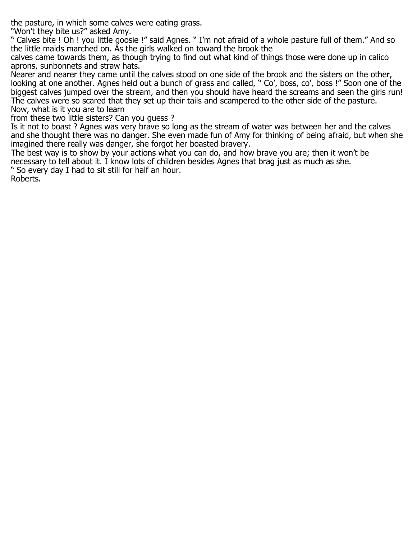the pasture, in which some calves were eating grass.

"Won't they bite us?" asked Amy.

" Calves bite ! Oh ! you little goosie !" said Agnes. " I'm not afraid of a whole pasture full of them." And so the little maids marched on. As the girls walked on toward the brook the

calves came towards them, as though trying to find out what kind of things those were done up in calico aprons, sunbonnets and straw hats.

Nearer and nearer they came until the calves stood on one side of the brook and the sisters on the other, looking at one another. Agnes held out a bunch of grass and called, " Co', boss, co', boss !" Soon one of the biggest calves jumped over the stream, and then you should have heard the screams and seen the girls run! The calves were so scared that they set up their tails and scampered to the other side of the pasture. Now, what is it you are to learn

from these two little sisters? Can you guess ?

Is it not to boast ? Agnes was very brave so long as the stream of water was between her and the calves and she thought there was no danger. She even made fun of Amy for thinking of being afraid, but when she imagined there really was danger, she forgot her boasted bravery.

The best way is to show by your actions what you can do, and how brave you are; then it won't be necessary to tell about it. I know lots of children besides Agnes that brag just as much as she. " So every day I had to sit still for half an hour.

Roberts.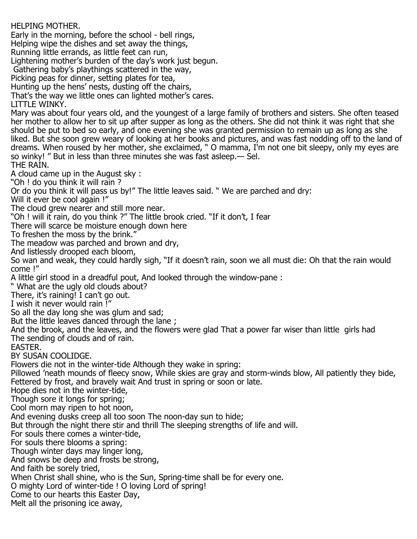HELPING MOTHER. Early in the morning, before the school - bell rings, Helping wipe the dishes and set away the things, Running little errands, as little feet can run, Lightening mother's burden of the day's work just begun. Gathering baby's playthings scattered in the way, Picking peas for dinner, setting plates for tea, Hunting up the hens' nests, dusting off the chairs, That's the way we little ones can lighted mother's cares. LITTLE WINKY. Mary was about four years old, and the youngest of a large family of brothers and sisters. She often teased her mother to allow her to sit up after supper as long as the others. She did not think it was right that she should be put to bed so early, and one evening she was granted permission to remain up as long as she liked. But she soon grew weary of looking at her books and pictures, and was fast nodding off to the land of dreams. When roused by her mother, she exclaimed, " O mamma, I'm not one bit sleepy, only my eyes are so winky! " But in less than three minutes she was fast asleep.— Sel. THE RAIN. A cloud came up in the August sky : "Oh ! do you think it will rain ? Or do you think it will pass us by!" The little leaves said. " We are parched and dry: Will it ever be cool again !" The cloud grew nearer and still more near. "Oh ! will it rain, do you think ?" The little brook cried. "If it don't, I fear There will scarce be moisture enough down here To freshen the moss by the brink." The meadow was parched and brown and dry, And listlessly drooped each bloom, So wan and weak, they could hardly sigh, "If it doesn't rain, soon we all must die: Oh that the rain would come !" A little girl stood in a dreadful pout, And looked through the window-pane : " What are the ugly old clouds about? There, it's raining! I can't go out. I wish it never would rain !" So all the day long she was glum and sad; But the little leaves danced through the lane ; And the brook, and the leaves, and the flowers were glad That a power far wiser than little girls had The sending of clouds and of rain. EASTER. BY SUSAN COOLIDGE. Flowers die not in the winter-tide Although they wake in spring: Pillowed 'neath mounds of fleecy snow, While skies are gray and storm-winds blow, All patiently they bide, Fettered by frost, and bravely wait And trust in spring or soon or late. Hope dies not in the winter-tide, Though sore it longs for spring; Cool morn may ripen to hot noon, And evening dusks creep all too soon The noon-day sun to hide; But through the night there stir and thrill The sleeping strengths of life and will. For souls there comes a winter-tide, For souls there blooms a spring: Though winter days may linger long, And snows be deep and frosts be strong, And faith be sorely tried, When Christ shall shine, who is the Sun, Spring-time shall be for every one. O mighty Lord of winter-tide ! O loving Lord of spring! Come to our hearts this Easter Day, Melt all the prisoning ice away,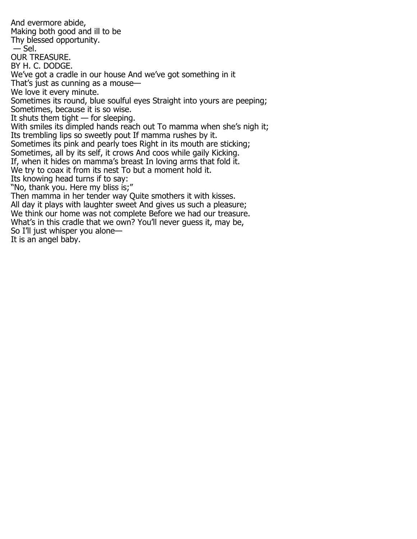And evermore abide, Making both good and ill to be Thy blessed opportunity.  $-\overline{\mathsf{Sel}}$ . OUR TREASURE. BY H. C. DODGE. We've got a cradle in our house And we've got something in it That's just as cunning as a mouse— We love it every minute. Sometimes its round, blue soulful eyes Straight into yours are peeping; Sometimes, because it is so wise. It shuts them tight  $-$  for sleeping. With smiles its dimpled hands reach out To mamma when she's nigh it; Its trembling lips so sweetly pout If mamma rushes by it. Sometimes its pink and pearly toes Right in its mouth are sticking; Sometimes, all by its self, it crows And coos while gaily Kicking. If, when it hides on mamma's breast In loving arms that fold it. We try to coax it from its nest To but a moment hold it. Its knowing head turns if to say: "No, thank you. Here my bliss is;" Then mamma in her tender way Quite smothers it with kisses. All day it plays with laughter sweet And gives us such a pleasure; We think our home was not complete Before we had our treasure. What's in this cradle that we own? You'll never quess it, may be, So I'll just whisper you alone—

It is an angel baby.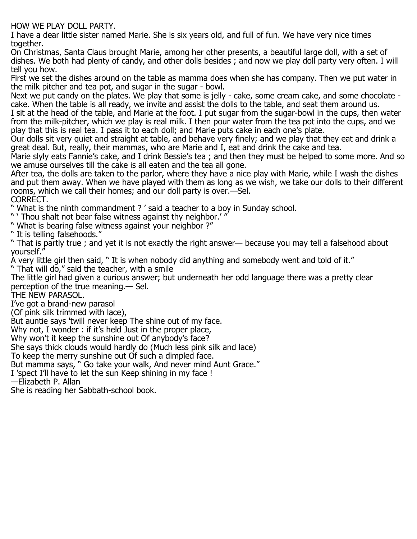HOW WE PLAY DOLL PARTY.

I have a dear little sister named Marie. She is six years old, and full of fun. We have very nice times together.

On Christmas, Santa Claus brought Marie, among her other presents, a beautiful large doll, with a set of dishes. We both had plenty of candy, and other dolls besides ; and now we play doll party very often. I will tell you how.

First we set the dishes around on the table as mamma does when she has company. Then we put water in the milk pitcher and tea pot, and sugar in the sugar - bowl.

Next we put candy on the plates. We play that some is jelly - cake, some cream cake, and some chocolate cake. When the table is all ready, we invite and assist the dolls to the table, and seat them around us.

I sit at the head of the table, and Marie at the foot. I put sugar from the sugar-bowl in the cups, then water from the milk-pitcher, which we play is real milk. I then pour water from the tea pot into the cups, and we play that this is real tea. I pass it to each doll; and Marie puts cake in each one's plate.

Our dolls sit very quiet and straight at table, and behave very finely; and we play that they eat and drink a great deal. But, really, their mammas, who are Marie and I, eat and drink the cake and tea.

Marie slyly eats Fannie's cake, and I drink Bessie's tea ; and then they must be helped to some more. And so we amuse ourselves till the cake is all eaten and the tea all gone.

After tea, the dolls are taken to the parlor, where they have a nice play with Marie, while I wash the dishes and put them away. When we have played with them as long as we wish, we take our dolls to their different rooms, which we call their homes; and our doll party is over.—Sel.

CORRECT.

" What is the ninth commandment ? ' said a teacher to a boy in Sunday school.

" ' Thou shalt not bear false witness against thy neighbor.' ''

" What is bearing false witness against your neighbor ?"

" It is telling falsehoods."

" That is partly true ; and yet it is not exactly the right answer— because you may tell a falsehood about yourself."

A very little girl then said, " It is when nobody did anything and somebody went and told of it." " That will do," said the teacher, with a smile

The little girl had given a curious answer; but underneath her odd language there was a pretty clear perception of the true meaning.— Sel.

THE NEW PARASOL.

I've got a brand-new parasol

(Of pink silk trimmed with lace),

But auntie says 'twill never keep The shine out of my face.

Why not, I wonder: if it's held Just in the proper place,

Why won't it keep the sunshine out Of anybody's face?

She says thick clouds would hardly do (Much less pink silk and lace)

To keep the merry sunshine out Of such a dimpled face.

But mamma says, " Go take your walk, And never mind Aunt Grace."

I 'spect I'll have to let the sun Keep shining in my face !

—Elizabeth P. Allan

She is reading her Sabbath-school book.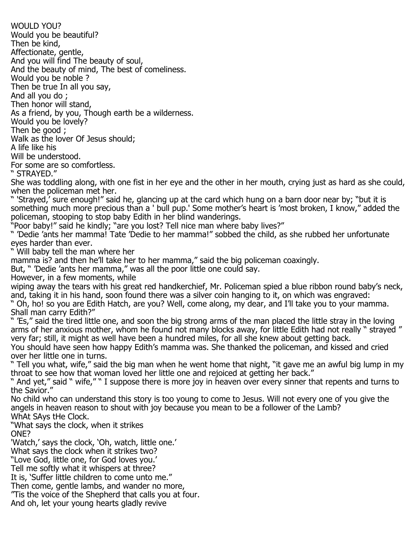WOULD YOU? Would you be beautiful? Then be kind, Affectionate, gentle, And you will find The beauty of soul, And the beauty of mind, The best of comeliness. Would you be noble ? Then be true In all you say, And all you do ; Then honor will stand, As a friend, by you, Though earth be a wilderness. Would you be lovely? Then be good ; Walk as the lover Of Jesus should; A life like his Will be understood. For some are so comfortless. " STRAYED." She was toddling along, with one fist in her eye and the other in her mouth, crying just as hard as she could,

when the policeman met her. " 'Strayed,' sure enough!" said he, glancing up at the card which hung on a barn door near by; "but it is

something much more precious than a ' bull pup.' Some mother's heart is 'most broken, I know," added the policeman, stooping to stop baby Edith in her blind wanderings.

"Poor baby!" said he kindly; "are you lost? Tell nice man where baby lives?"

" 'Dedie 'ants her mamma! Tate 'Dedie to her mamma!" sobbed the child, as she rubbed her unfortunate eyes harder than ever.

" Will baby tell the man where her

mamma is? and then he'll take her to her mamma," said the big policeman coaxingly.

But, " 'Dedie 'ants her mamma," was all the poor little one could say.

However, in a few moments, while

wiping away the tears with his great red handkerchief, Mr. Policeman spied a blue ribbon round baby's neck, and, taking it in his hand, soon found there was a silver coin hanging to it, on which was engraved:

" Oh, ho! so you are Edith Hatch, are you? Well, come along, my dear, and I'll take you to your mamma. Shall man carry Edith?"

" 'Es," said the tired little one, and soon the big strong arms of the man placed the little stray in the loving arms of her anxious mother, whom he found not many blocks away, for little Edith had not really " strayed " very far; still, it might as well have been a hundred miles, for all she knew about getting back.

You should have seen how happy Edith's mamma was. She thanked the policeman, and kissed and cried over her little one in turns.

" Tell you what, wife," said the big man when he went home that night, "it gave me an awful big lump in my throat to see how that woman loved her little one and rejoiced at getting her back."

" And yet," said " wife," " I suppose there is more joy in heaven over every sinner that repents and turns to the Savior."

No child who can understand this story is too young to come to Jesus. Will not every one of you give the angels in heaven reason to shout with joy because you mean to be a follower of the Lamb? WhAt SAys tHe Clock.

"What says the clock, when it strikes ONE?

'Watch,' says the clock, 'Oh, watch, little one.'

What says the clock when it strikes two?

"Love God, little one, for God loves you.'

Tell me softly what it whispers at three?

It is, 'Suffer little children to come unto me."

Then come, gentle lambs, and wander no more,

"Tis the voice of the Shepherd that calls you at four.

And oh, let your young hearts gladly revive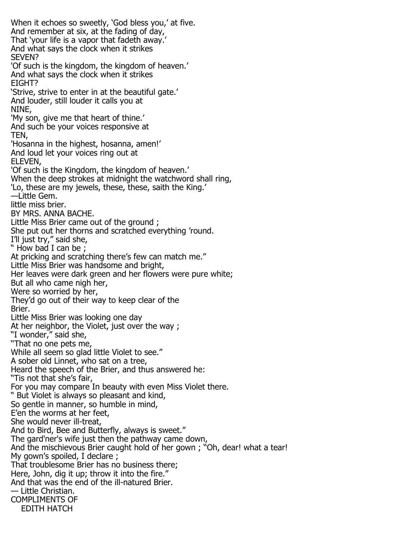When it echoes so sweetly, 'God bless you,' at five. And remember at six, at the fading of day, That 'your life is a vapor that fadeth away.' And what says the clock when it strikes SEVEN? 'Of such is the kingdom, the kingdom of heaven.' And what says the clock when it strikes EIGHT? 'Strive, strive to enter in at the beautiful gate.' And louder, still louder it calls you at NINE, 'My son, give me that heart of thine.' And such be your voices responsive at TEN, 'Hosanna in the highest, hosanna, amen!' And loud let your voices ring out at ELEVEN, 'Of such is the Kingdom, the kingdom of heaven.' When the deep strokes at midnight the watchword shall ring, 'Lo, these are my jewels, these, these, saith the King.' —Little Gem. little miss brier. BY MRS. ANNA BACHE. Little Miss Brier came out of the ground ; She put out her thorns and scratched everything 'round. I'll just try," said she, " How bad I can be ; At pricking and scratching there's few can match me." Little Miss Brier was handsome and bright, Her leaves were dark green and her flowers were pure white; But all who came nigh her, Were so worried by her, They'd go out of their way to keep clear of the Brier. Little Miss Brier was looking one day At her neighbor, the Violet, just over the way ; "I wonder," said she, ''That no one pets me, While all seem so glad little Violet to see." A sober old Linnet, who sat on a tree, Heard the speech of the Brier, and thus answered he: "Tis not that she's fair, For you may compare In beauty with even Miss Violet there. " But Violet is always so pleasant and kind, So gentle in manner, so humble in mind, E'en the worms at her feet, She would never ill-treat, And to Bird, Bee and Butterfly, always is sweet." The gard'ner's wife just then the pathway came down, And the mischievous Brier caught hold of her gown ; ''Oh, dear! what a tear! My gown's spoiled, I declare ; That troublesome Brier has no business there; Here, John, dig it up; throw it into the fire." And that was the end of the ill-natured Brier. — Little Christian. COMPLIMENTS OF EDITH HATCH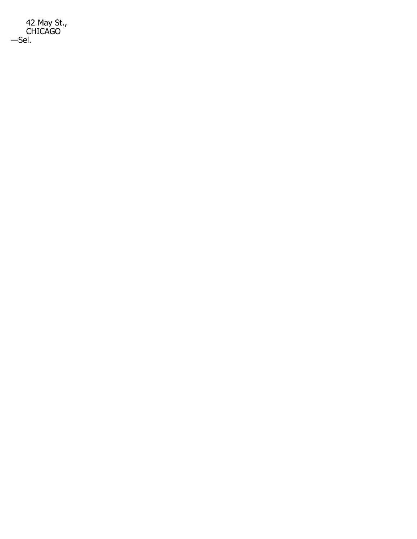42 May St., **CHICAGO** —Sel.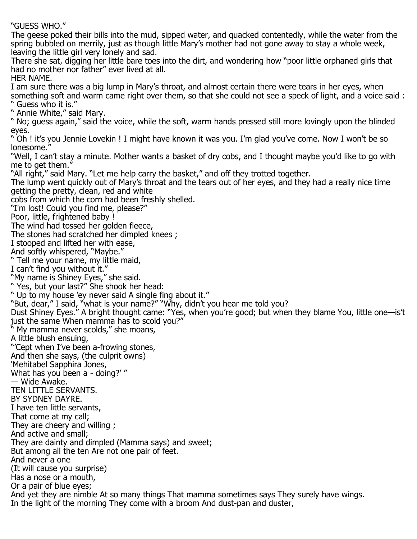"GUESS WHO."

The geese poked their bills into the mud, sipped water, and quacked contentedly, while the water from the spring bubbled on merrily, just as though little Mary's mother had not gone away to stay a whole week, leaving the little girl very lonely and sad.

There she sat, digging her little bare toes into the dirt, and wondering how "poor little orphaned girls that had no mother nor father" ever lived at all.

HER NAME.

I am sure there was a big lump in Mary's throat, and almost certain there were tears in her eyes, when something soft and warm came right over them, so that she could not see a speck of light, and a voice said : " Guess who it is."

" Annie White," said Mary.

" No; guess again," said the voice, while the soft, warm hands pressed still more lovingly upon the blinded eyes.

" Oh ! it's you Jennie Lovekin ! I might have known it was you. I'm glad you've come. Now I won't be so lonesome.'

"Well, I can't stay a minute. Mother wants a basket of dry cobs, and I thought maybe you'd like to go with me to get them.'

"All right," said Mary. "Let me help carry the basket," and off they trotted together.

The lump went quickly out of Mary's throat and the tears out of her eyes, and they had a really nice time getting the pretty, clean, red and white

cobs from which the corn had been freshly shelled.

"I'm lost! Could you find me, please?"

Poor, little, frightened baby !

The wind had tossed her golden fleece,

The stones had scratched her dimpled knees ;

I stooped and lifted her with ease,

And softly whispered, "Maybe."

" Tell me your name, my little maid,

I can't find you without it."

"My name is Shiney Eyes," she said.

" Yes, but your last?" She shook her head:

" Up to my house 'ey never said A single fing about it.''

"But, dear," I said, "what is your name?" "Why, didn't you hear me told you?

Dust Shiney Eyes." A bright thought came: "Yes, when you're good; but when they blame You, little one—is't just the same When mamma has to scold you?"

" My mamma never scolds," she moans,

A little blush ensuing,

"'Cept when I've been a-frowing stones,

And then she says, (the culprit owns)

'Mehitabel Sapphira Jones,

What has you been a - doing?' "

— Wide Awake.

TEN LITTLE SERVANTS.

BY SYDNEY DAYRE.

I have ten little servants,

That come at my call;

They are cheery and willing ;

And active and small;

They are dainty and dimpled (Mamma says) and sweet;

But among all the ten Are not one pair of feet.

And never a one

(It will cause you surprise)

Has a nose or a mouth,

Or a pair of blue eyes;

And yet they are nimble At so many things That mamma sometimes says They surely have wings. In the light of the morning They come with a broom And dust-pan and duster,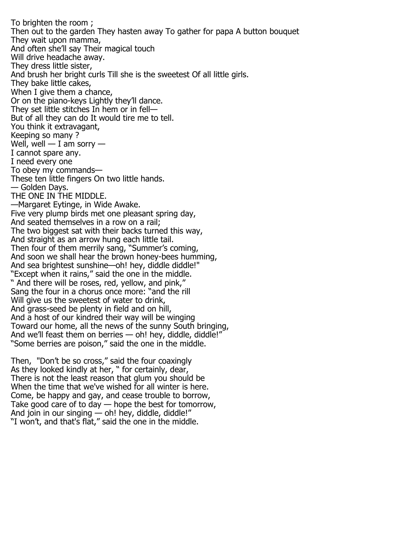To brighten the room ; Then out to the garden They hasten away To gather for papa A button bouquet They wait upon mamma, And often she'll say Their magical touch Will drive headache away. They dress little sister, And brush her bright curls Till she is the sweetest Of all little girls. They bake little cakes, When I give them a chance, Or on the piano-keys Lightly they'll dance. They set little stitches In hem or in fell— But of all they can do It would tire me to tell. You think it extravagant, Keeping so many ? Well, well  $-$  I am sorry  $-$ I cannot spare any. I need every one To obey my commands— These ten little fingers On two little hands. — Golden Days. THE ONE IN THE MIDDLE. —Margaret Eytinge, in Wide Awake. Five very plump birds met one pleasant spring day, And seated themselves in a row on a rail; The two biggest sat with their backs turned this way, And straight as an arrow hung each little tail. Then four of them merrily sang, "Summer's coming, And soon we shall hear the brown honey-bees humming, And sea brightest sunshine—oh! hey, diddle diddle!" "Except when it rains," said the one in the middle. " And there will be roses, red, yellow, and pink," Sang the four in a chorus once more: "and the rill Will give us the sweetest of water to drink, And grass-seed be plenty in field and on hill, And a host of our kindred their way will be winging Toward our home, all the news of the sunny South bringing, And we'll feast them on berries — oh! hey, diddle, diddle!" "Some berries are poison," said the one in the middle.

Then, "Don't be so cross," said the four coaxingly As they looked kindly at her, " for certainly, dear, There is not the least reason that glum you should be When the time that we've wished for all winter is here. Come, be happy and gay, and cease trouble to borrow, Take good care of to day — hope the best for tomorrow, And join in our singing — oh! hey, diddle, diddle!" "I won't, and that's flat," said the one in the middle.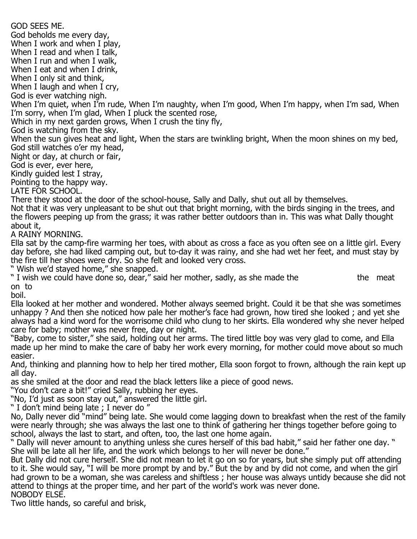GOD SEES ME. God beholds me every day, When I work and when I play, When I read and when I talk, When I run and when I walk, When I eat and when I drink, When I only sit and think, When I laugh and when I cry, God is ever watching nigh. When I'm quiet, when I'm rude, When I'm naughty, when I'm good, When I'm happy, when I'm sad, When I'm sorry, when I'm glad, When I pluck the scented rose, Which in my next garden grows, When I crush the tiny fly, God is watching from the sky. When the sun gives heat and light, When the stars are twinkling bright, When the moon shines on my bed, God still watches o'er my head, Night or day, at church or fair, God is ever, ever here, Kindly guided lest I stray, Pointing to the happy way. LATE FOR SCHOOL. There they stood at the door of the school-house, Sally and Dally, shut out all by themselves. Not that it was very unpleasant to be shut out that bright morning, with the birds singing in the trees, and the flowers peeping up from the grass; it was rather better outdoors than in. This was what Dally thought about it, A RAINY MORNING. Ella sat by the camp-fire warming her toes, with about as cross a face as you often see on a little girl. Every day before, she had liked camping out, but to-day it was rainy, and she had wet her feet, and must stay by the fire till her shoes were dry. So she felt and looked very cross. " Wish we'd stayed home," she snapped. " I wish we could have done so, dear," said her mother, sadly, as she made the the the meat on to boil. Ella looked at her mother and wondered. Mother always seemed bright. Could it be that she was sometimes unhappy ? And then she noticed how pale her mother's face had grown, how tired she looked ; and yet she always had a kind word for the worrisome child who clung to her skirts. Ella wondered why she never helped care for baby; mother was never free, day or night. "Baby, come to sister," she said, holding out her arms. The tired little boy was very glad to come, and Ella made up her mind to make the care of baby her work every morning, for mother could move about so much easier. And, thinking and planning how to help her tired mother, Ella soon forgot to frown, although the rain kept up all day. as she smiled at the door and read the black letters like a piece of good news. "You don't care a bit!" cried Sally, rubbing her eyes. "No, I'd just as soon stay out," answered the little girl. " I don't mind being late ; I never do " No, Dally never did "mind" being late. She would come lagging down to breakfast when the rest of the family were nearly through; she was always the last one to think of gathering her things together before going to school, always the last to start, and often, too, the last one home again. " Dally will never amount to anything unless she cures herself of this bad habit," said her father one day. " She will be late all her life, and the work which belongs to her will never be done." But Dally did not cure herself. She did not mean to let it go on so for years, but she simply put off attending to it. She would say, "I will be more prompt by and by." But the by and by did not come, and when the girl had grown to be a woman, she was careless and shiftless ; her house was always untidy because she did not attend to things at the proper time, and her part of the world's work was never done.

NOBODY ELSE.

Two little hands, so careful and brisk,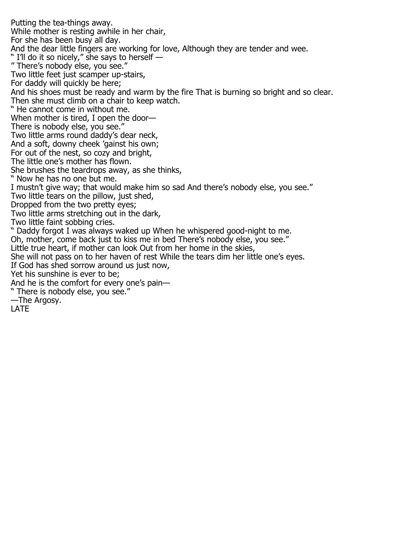Putting the tea-things away. While mother is resting awhile in her chair, For she has been busy all day. And the dear little fingers are working for love, Although they are tender and wee. " I'll do it so nicely," she says to herself — " There's nobody else, you see." Two little feet just scamper up-stairs, For daddy will quickly be here; And his shoes must be ready and warm by the fire That is burning so bright and so clear. Then she must climb on a chair to keep watch. " He cannot come in without me. When mother is tired, I open the door— There is nobody else, you see." Two little arms round daddy's dear neck, And a soft, downy cheek 'gainst his own; For out of the nest, so cozy and bright, The little one's mother has flown. She brushes the teardrops away, as she thinks, " Now he has no one but me. I mustn't give way; that would make him so sad And there's nobody else, you see." Two little tears on the pillow, just shed, Dropped from the two pretty eyes; Two little arms stretching out in the dark, Two little faint sobbing cries. " Daddy forgot I was always waked up When he whispered good-night to me. Oh, mother, come back just to kiss me in bed There's nobody else, you see." Little true heart, if mother can look Out from her home in the skies, She will not pass on to her haven of rest While the tears dim her little one's eyes. If God has shed sorrow around us just now, Yet his sunshine is ever to be; And he is the comfort for every one's pain— " There is nobody else, you see." —The Argosy. LATE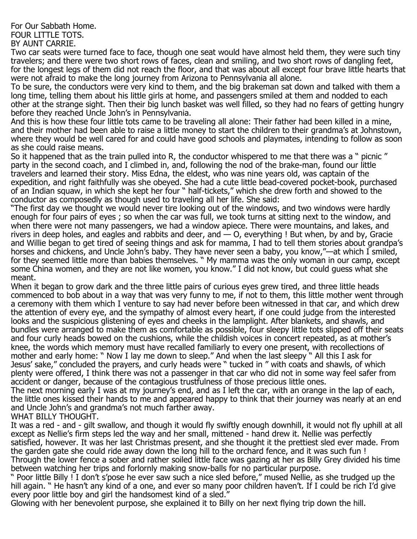For Our Sabbath Home. FOUR LITTLE TOTS. BY AUNT CARRIE.

Two car seats were turned face to face, though one seat would have almost held them, they were such tiny travelers; and there were two short rows of faces, clean and smiling, and two short rows of dangling feet, for the longest legs of them did not reach the floor, and that was about all except four brave little hearts that were not afraid to make the long journey from Arizona to Pennsylvania all alone.

To be sure, the conductors were very kind to them, and the big brakeman sat down and talked with them a long time, telling them about his little girls at home, and passengers smiled at them and nodded to each other at the strange sight. Then their big lunch basket was well filled, so they had no fears of getting hungry before they reached Uncle John's in Pennsylvania.

And this is how these four little tots came to be traveling all alone: Their father had been killed in a mine, and their mother had been able to raise a little money to start the children to their grandma's at Johnstown, where they would be well cared for and could have good schools and playmates, intending to follow as soon as she could raise means.

So it happened that as the train pulled into R, the conductor whispered to me that there was a " picnic " party in the second coach, and I climbed in, and, following the nod of the brake-man, found our little travelers and learned their story. Miss Edna, the eldest, who was nine years old, was captain of the expedition, and right faithfully was she obeyed. She had a cute little bead-covered pocket-book, purchased of an Indian squaw, in which she kept her four " half-tickets," which she drew forth and showed to the conductor as composedly as though used to traveling all her life. She said:

"The first day we thought we would never tire looking out of the windows, and two windows were hardly enough for four pairs of eyes ; so when the car was full, we took turns at sitting next to the window, and when there were not many passengers, we had a window apiece. There were mountains, and lakes, and rivers in deep holes, and eagles and rabbits and deer, and  $-$  O, everything ! But when, by and by, Gracie and Willie began to get tired of seeing things and ask for mamma, I had to tell them stories about grandpa's horses and chickens, and Uncle John's baby. They have never seen a baby, you know,"—at which I smiled, for they seemed little more than babies themselves. " My mamma was the only woman in our camp, except some China women, and they are not like women, you know." I did not know, but could guess what she meant.

When it began to grow dark and the three little pairs of curious eyes grew tired, and three little heads commenced to bob about in a way that was very funny to me, if not to them, this little mother went through a ceremony with them which I venture to say had never before been witnessed in that car, and which drew the attention of every eye, and the sympathy of almost every heart, if one could judge from the interested looks and the suspicious glistening of eyes and cheeks in the lamplight. After blankets, and shawls, and bundles were arranged to make them as comfortable as possible, four sleepy little tots slipped off their seats and four curly heads bowed on the cushions, while the childish voices in concert repeated, as at mother's knee, the words which memory must have recalled familiarly to every one present, with recollections of mother and early home: " Now I lay me down to sleep." And when the last sleepy " All this I ask for Jesus' sake," concluded the prayers, and curly heads were " tucked in " with coats and shawls, of which plenty were offered, I think there was not a passenger in that car who did not in some way feel safer from accident or danger, because of the contagious trustfulness of those precious little ones.

The next morning early I was at my journey's end, and as I left the car, with an orange in the lap of each, the little ones kissed their hands to me and appeared happy to think that their journey was nearly at an end and Uncle John's and grandma's not much farther away.

WHAT BILLY THOUGHT.

It was a red - and - gilt swallow, and though it would fly swiftly enough downhill, it would not fly uphill at all except as Nellie's firm steps led the way and her small, mittened - hand drew it. Nellie was perfectly satisfied, however. It was her last Christmas present, and she thought it the prettiest sled ever made. From the garden gate she could ride away down the long hill to the orchard fence, and it was such fun ! Through the lower fence a sober and rather soiled little face was gazing at her as Billy Grey divided his time

between watching her trips and forlornly making snow-balls for no particular purpose.

" Poor little Billy ! I don't s'pose he ever saw such a nice sled before," mused Nellie, as she trudged up the hill again. "He hasn't any kind of a one, and ever so many poor children haven't. If I could be rich I'd give every poor little boy and girl the handsomest kind of a sled."

Glowing with her benevolent purpose, she explained it to Billy on her next flying trip down the hill.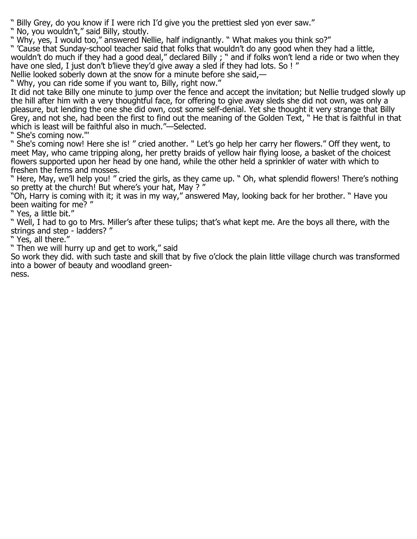" Billy Grey, do you know if I were rich I'd give you the prettiest sled yon ever saw."

" No, you wouldn't," said Billy, stoutly.

" Why, yes, I would too," answered Nellie, half indignantly. " What makes you think so?"

" 'Cause that Sunday-school teacher said that folks that wouldn't do any good when they had a little, wouldn't do much if they had a good deal," declared Billy ; " and if folks won't lend a ride or two when they have one sled, I just don't b'lieve they'd give away a sled if they had lots. So ! " Nellie looked soberly down at the snow for a minute before she said,—

" Why, you can ride some if you want to, Billy, right now."

It did not take Billy one minute to jump over the fence and accept the invitation; but Nellie trudged slowly up the hill after him with a very thoughtful face, for offering to give away sleds she did not own, was only a pleasure, but lending the one she did own, cost some self-denial. Yet she thought it very strange that Billy Grey, and not she, had been the first to find out the meaning of the Golden Text, " He that is faithful in that which is least will be faithful also in much."—Selected.

" She's coming now."'

" She's coming now! Here she is! " cried another. " Let's go help her carry her flowers." Off they went, to meet May, who came tripping along, her pretty braids of yellow hair flying loose, a basket of the choicest flowers supported upon her head by one hand, while the other held a sprinkler of water with which to freshen the ferns and mosses.

" Here, May, we'll help you! " cried the girls, as they came up. " Oh, what splendid flowers! There's nothing so pretty at the church! But where's your hat, May ? "

"Oh, Harry is coming with it; it was in my way," answered May, looking back for her brother. " Have you been waiting for me? "

" Yes, a little bit."

" Well, I had to go to Mrs. Miller's after these tulips; that's what kept me. Are the boys all there, with the strings and step - ladders? "

" Yes, all there."

" Then we will hurry up and get to work," said

So work they did. with such taste and skill that by five o'clock the plain little village church was transformed into a bower of beauty and woodland green-

ness.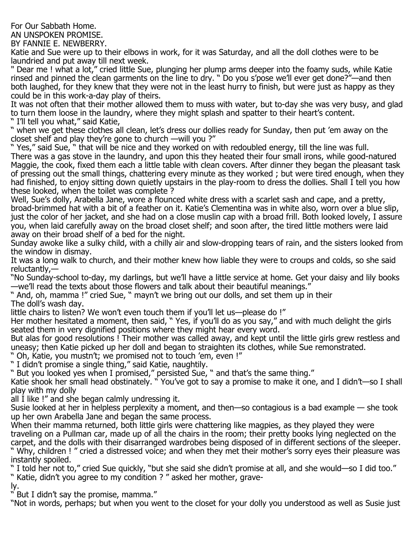For Our Sabbath Home. AN UNSPOKEN PROMISE.

BY FANNIE E. NEWBERRY.

Katie and Sue were up to their elbows in work, for it was Saturday, and all the doll clothes were to be laundried and put away till next week.

" Dear me ! what a lot," cried little Sue, plunging her plump arms deeper into the foamy suds, while Katie rinsed and pinned the clean garments on the line to dry. " Do you s'pose we'll ever get done?"—and then both laughed, for they knew that they were not in the least hurry to finish, but were just as happy as they could be in this work-a-day play of theirs.

It was not often that their mother allowed them to muss with water, but to-day she was very busy, and glad to turn them loose in the laundry, where they might splash and spatter to their heart's content. " I'll tell you what," said Katie,

" when we get these clothes all clean, let's dress our dollies ready for Sunday, then put 'em away on the closet shelf and play they're gone to church —will you ?"

" Yes," said Sue, " that will be nice and they worked on with redoubled energy, till the line was full.

There was a gas stove in the laundry, and upon this they heated their four small irons, while good-natured Maggie, the cook, fixed them each a little table with clean covers. After dinner they began the pleasant task of pressing out the small things, chattering every minute as they worked ; but were tired enough, when they had finished, to enjoy sitting down quietly upstairs in the play-room to dress the dollies. Shall I tell you how these looked, when the toilet was complete ?

Well, Sue's dolly, Arabella Jane, wore a flounced white dress with a scarlet sash and cape, and a pretty, broad-brimmed hat with a bit of a feather on it. Katie's Clementina was in white also, worn over a blue slip, just the color of her jacket, and she had on a close muslin cap with a broad frill. Both looked lovely, I assure you, when laid carefully away on the broad closet shelf; and soon after, the tired little mothers were laid away on their broad shelf of a bed for the night.

Sunday awoke like a sulky child, with a chilly air and slow-dropping tears of rain, and the sisters looked from the window in dismay.

It was a long walk to church, and their mother knew how liable they were to croups and colds, so she said reluctantly,—

"No Sunday-school to-day, my darlings, but we'll have a little service at home. Get your daisy and lily books —we'll read the texts about those flowers and talk about their beautiful meanings."

" And, oh, mamma !" cried Sue, " mayn't we bring out our dolls, and set them up in their The doll's wash day.

little chairs to listen? We won't even touch them if you'll let us—please do !"

Her mother hesitated a moment, then said, " Yes, if you'll do as you say," and with much delight the girls seated them in very dignified positions where they might hear every word.

But alas for good resolutions ! Their mother was called away, and kept until the little girls grew restless and uneasy; then Katie picked up her doll and began to straighten its clothes, while Sue remonstrated.

" Oh, Katie, you mustn't; we promised not to touch 'em, even !"

" I didn't promise a single thing," said Katie, naughtily.

" But you looked yes when I promised," persisted Sue, " and that's the same thing."

Katie shook her small head obstinately. " You've got to say a promise to make it one, and I didn't—so I shall play with my dolly

all I like !" and she began calmly undressing it.

Susie looked at her in helpless perplexity a moment, and then—so contagious is a bad example — she took up her own Arabella Jane and began the same process.

When their mamma returned, both little girls were chattering like magpies, as they played they were traveling on a Pullman car, made up of all the chairs in the room; their pretty books lying neglected on the carpet, and the dolls with their disarranged wardrobes being disposed of in different sections of the sleeper. " Why, children ! " cried a distressed voice; and when they met their mother's sorry eyes their pleasure was instantly spoiled.

" I told her not to," cried Sue quickly, "but she said she didn't promise at all, and she would—so I did too." " Katie, didn't you agree to my condition ? " asked her mother, grave-

ly.

" But I didn't say the promise, mamma."

"Not in words, perhaps; but when you went to the closet for your dolly you understood as well as Susie just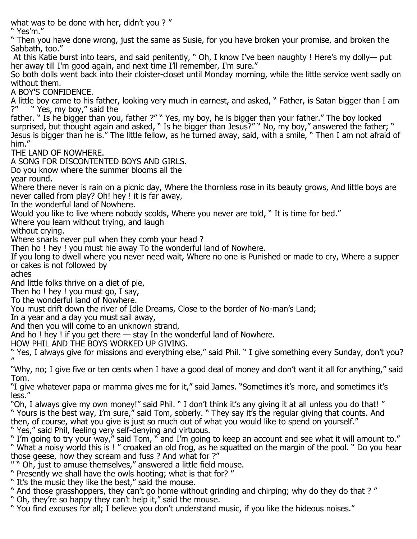what was to be done with her, didn't you ? " " Yes'm."

" Then you have done wrong, just the same as Susie, for you have broken your promise, and broken the Sabbath, too."

At this Katie burst into tears, and said penitently, " Oh, I know I've been naughty ! Here's my dolly— put her away till I'm good again, and next time I'll remember, I'm sure."

So both dolls went back into their cloister-closet until Monday morning, while the little service went sadly on without them.

A BOY'S CONFIDENCE.

A little boy came to his father, looking very much in earnest, and asked, " Father, is Satan bigger than I am<br>?" If Yes, my boy," said the " Yes, my boy," said the

father. " Is he bigger than you, father ?" " Yes, my boy, he is bigger than your father." The boy looked surprised, but thought again and asked, " Is he bigger than Jesus?" " No, my boy," answered the father; " Jesus is bigger than he is." The little fellow, as he turned away, said, with a smile, " Then I am not afraid of him."

THE LAND OF NOWHERE.

A SONG FOR DISCONTENTED BOYS AND GIRLS.

Do you know where the summer blooms all the

year round.

Where there never is rain on a picnic day, Where the thornless rose in its beauty grows, And little boys are never called from play? Oh! hey ! it is far away,

In the wonderful land of Nowhere.

Would you like to live where nobody scolds, Where you never are told, "It is time for bed."

Where you learn without trying, and laugh

without crying.

Where snarls never pull when they comb your head ?

Then ho ! hey ! you must hie away To the wonderful land of Nowhere.

If you long to dwell where you never need wait, Where no one is Punished or made to cry, Where a supper or cakes is not followed by

aches

And little folks thrive on a diet of pie,

Then ho ! hey ! you must go, I say,

To the wonderful land of Nowhere.

You must drift down the river of Idle Dreams, Close to the border of No-man's Land;

In a year and a day you must sail away,

And then you will come to an unknown strand,

And ho ! hey ! if you get there — stay In the wonderful land of Nowhere.

HOW PHIL AND THE BOYS WORKED UP GIVING.

" Yes, I always give for missions and everything else," said Phil. " I give something every Sunday, don't you? "

"Why, no; I give five or ten cents when I have a good deal of money and don't want it all for anything," said Tom.

"I give whatever papa or mamma gives me for it," said James. "Sometimes it's more, and sometimes it's less."

"Oh, I always give my own money!" said Phil. " I don't think it's any giving it at all unless you do that! " " Yours is the best way, I'm sure," said Tom, soberly. " They say it's the regular giving that counts. And then, of course, what you give is just so much out of what you would like to spend on yourself."

" Yes," said Phil, feeling very self-denying and virtuous.

" I'm going to try your way," said Tom, " and I'm going to keep an account and see what it will amount to." " What a noisy world this is ! " croaked an old frog, as he squatted on the margin of the pool. " Do you hear those geese, how they scream and fuss ? And what for ?"

" " Oh, just to amuse themselves," answered a little field mouse.

- " Presently we shall have the owls hooting; what is that for? ''
- " It's the music they like the best," said the mouse.
- " And those grasshoppers, they can't go home without grinding and chirping; why do they do that ? "
- " Oh, they're so happy they can't help it," said the mouse.

" You find excuses for all; I believe you don't understand music, if you like the hideous noises."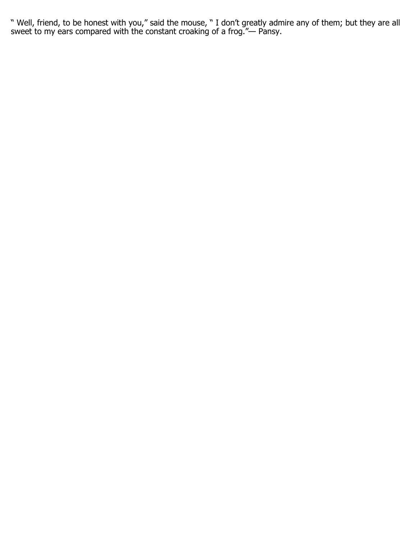" Well, friend, to be honest with you," said the mouse, " I don't greatly admire any of them; but they are all sweet to my ears compared with the constant croaking of a frog."— Pansy.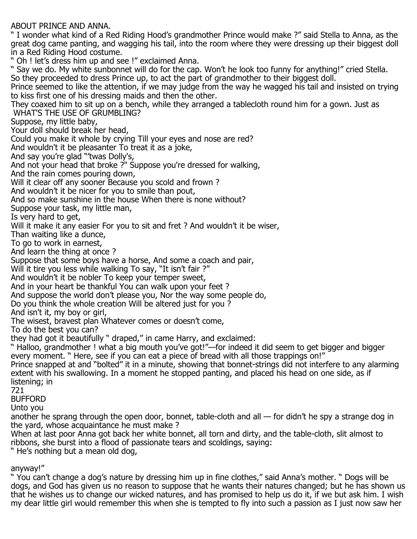ABOUT PRINCE AND ANNA.

" I wonder what kind of a Red Riding Hood's grandmother Prince would make ?" said Stella to Anna, as the great dog came panting, and wagging his tail, into the room where they were dressing up their biggest doll in a Red Riding Hood costume.

" Oh ! let's dress him up and see !" exclaimed Anna.

" Say we do. My white sunbonnet will do for the cap. Won't he look too funny for anything!" cried Stella. So they proceeded to dress Prince up, to act the part of grandmother to their biggest doll.

Prince seemed to like the attention, if we may judge from the way he wagged his tail and insisted on trying to kiss first one of his dressing maids and then the other.

They coaxed him to sit up on a bench, while they arranged a tablecloth round him for a gown. Just as WHAT'S THE USE OF GRUMBLING?

Suppose, my little baby,

Your doll should break her head,

Could you make it whole by crying Till your eyes and nose are red?

And wouldn't it be pleasanter To treat it as a joke,

And say you're glad "'twas Dolly's,

And not your head that broke ?" Suppose you're dressed for walking,

And the rain comes pouring down,

Will it clear off any sooner Because you scold and frown ?

And wouldn't it be nicer for you to smile than pout,

And so make sunshine in the house When there is none without?

Suppose your task, my little man,

Is very hard to get,

Will it make it any easier For you to sit and fret ? And wouldn't it be wiser,

Than waiting like a dunce,

To go to work in earnest,

And learn the thing at once ?

Suppose that some boys have a horse, And some a coach and pair,

Will it tire you less while walking To say, "It isn't fair ?"

And wouldn't it be nobler To keep your temper sweet,

And in your heart be thankful You can walk upon your feet ?

And suppose the world don't please you, Nor the way some people do,

Do you think the whole creation Will be altered just for you ?

And isn't it, my boy or girl,

The wisest, bravest plan Whatever comes or doesn't come,

To do the best you can?

they had got it beautifully " draped,'' in came Harry, and exclaimed:

" Halloo, grandmother ! what a big mouth you've got!"—for indeed it did seem to get bigger and bigger every moment. " Here, see if you can eat a piece of bread with all those trappings on!"

Prince snapped at and "bolted" it in a minute, showing that bonnet-strings did not interfere to any alarming extent with his swallowing. In a moment he stopped panting, and placed his head on one side, as if listening; in

721

BUFFORD

Unto you

another he sprang through the open door, bonnet, table-cloth and all — for didn't he spy a strange dog in the yard, whose acquaintance he must make ?

When at last poor Anna got back her white bonnet, all torn and dirty, and the table-cloth, slit almost to ribbons, she burst into a flood of passionate tears and scoldings, saying:

" He's nothing but a mean old dog,

anyway!"

" You can't change a dog's nature by dressing him up in fine clothes," said Anna's mother. " Dogs will be dogs, and God has given us no reason to suppose that he wants their natures changed; but he has shown us that he wishes us to change our wicked natures, and has promised to help us do it, if we but ask him. I wish my dear little girl would remember this when she is tempted to fly into such a passion as I just now saw her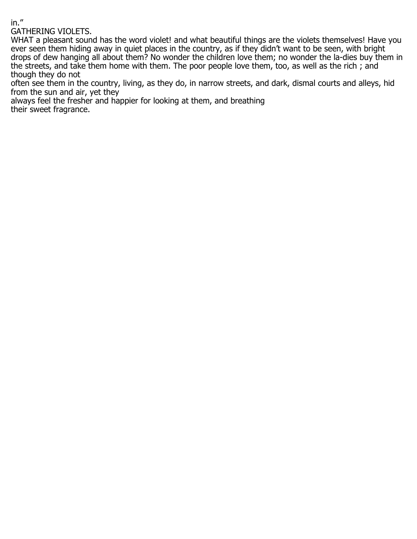in."

GATHERING VIOLETS.

WHAT a pleasant sound has the word violet! and what beautiful things are the violets themselves! Have you ever seen them hiding away in quiet places in the country, as if they didn't want to be seen, with bright drops of dew hanging all about them? No wonder the children love them; no wonder the la-dies buy them in the streets, and take them home with them. The poor people love them, too, as well as the rich; and though they do not

often see them in the country, living, as they do, in narrow streets, and dark, dismal courts and alleys, hid from the sun and air, yet they

always feel the fresher and happier for looking at them, and breathing their sweet fragrance.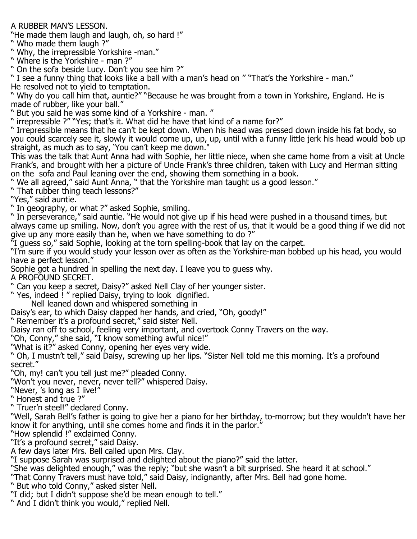### A RUBBER MAN'S LESSON.

"He made them laugh and laugh, oh, so hard !"

" Who made them laugh ?"

" Why, the irrepressible Yorkshire -man."

" Where is the Yorkshire - man ?"

" On the sofa beside Lucy. Don't you see him ?"

" I see a funny thing that looks like a ball with a man's head on '' "That's the Yorkshire - man.''

He resolved not to yield to temptation.

" Why do you call him that, auntie?" "Because he was brought from a town in Yorkshire, England. He is made of rubber, like your ball."

" But you said he was some kind of a Yorkshire - man. "

" irrepressible ?" "Yes; that's it. What did he have that kind of a name for?"

" Irrepressible means that he can't be kept down. When his head was pressed down inside his fat body, so you could scarcely see it, slowly it would come up, up, up, until with a funny little jerk his head would bob up straight, as much as to say, 'You can't keep me down."

This was the talk that Aunt Anna had with Sophie, her little niece, when she came home from a visit at Uncle Frank's, and brought with her a picture of Uncle Frank's three children, taken with Lucy and Herman sitting on the sofa and Paul leaning over the end, showing them something in a book.

" We all agreed," said Aunt Anna, " that the Yorkshire man taught us a good lesson."

" That rubber thing teach lessons?"

"Yes," said auntie.

" In geography, or what ?" asked Sophie, smiling.

" In perseverance," said auntie. "He would not give up if his head were pushed in a thousand times, but always came up smiling. Now, don't you agree with the rest of us, that it would be a good thing if we did not give up any more easily than he, when we have something to do ?"

"I guess so," said Sophie, looking at the torn spelling-book that lay on the carpet.

"I'm sure if you would study your lesson over as often as the Yorkshire-man bobbed up his head, you would have a perfect lesson."

Sophie got a hundred in spelling the next day. I leave you to guess why.

A PROFOUND SECRET.

" Can you keep a secret, Daisy?" asked Nell Clay of her younger sister.

" Yes, indeed ! " replied Daisy, trying to look dignified.

Nell leaned down and whispered something in

Daisy's ear, to which Daisy clapped her hands, and cried, "Oh, goody!"

" Remember it's a profound secret," said sister Nell.

Daisy ran off to school, feeling very important, and overtook Conny Travers on the way.

"Oh, Conny," she said, "I know something awful nice!"

"What is it?" asked Conny, opening her eyes very wide.

" Oh, I mustn't tell," said Daisy, screwing up her lips. "Sister Nell told me this morning. It's a profound secret."

"Oh, my! can't you tell just me?" pleaded Conny.

"Won't you never, never, never tell?" whispered Daisy.

"Never, 's long as I live!"

" Honest and true ?"

" Truer'n steel!" declared Conny.

"Well, Sarah Bell's father is going to give her a piano for her birthday, to-morrow; but they wouldn't have her know it for anything, until she comes home and finds it in the parlor."

"How splendid !" exclaimed Conny.

"It's a profound secret," said Daisy.

A few days later Mrs. Bell called upon Mrs. Clay.

"I suppose Sarah was surprised and delighted about the piano?" said the latter.

"She was delighted enough," was the reply; "but she wasn't a bit surprised. She heard it at school."

"That Conny Travers must have told," said Daisy, indignantly, after Mrs. Bell had gone home.

" But who told Conny," asked sister Nell.

"I did; but I didn't suppose she'd be mean enough to tell."

" And I didn't think you would," replied Nell.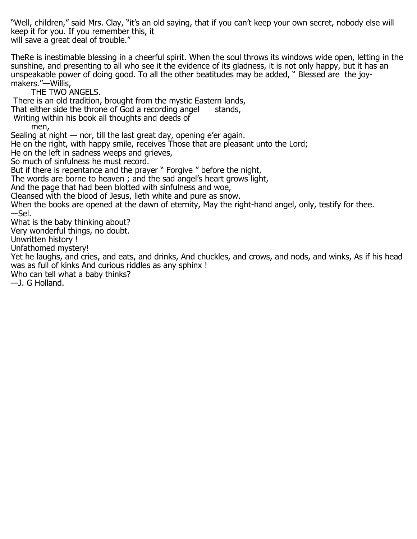"Well, children," said Mrs. Clay, "it's an old saying, that if you can't keep your own secret, nobody else will keep it for you. If you remember this, it will save a great deal of trouble."

TheRe is inestimable blessing in a cheerful spirit. When the soul throws its windows wide open, letting in the sunshine, and presenting to all who see it the evidence of its gladness, it is not only happy, but it has an unspeakable power of doing good. To all the other beatitudes may be added, " Blessed are the joymakers."—Willis,

THE TWO ANGELS.

There is an old tradition, brought from the mystic Eastern lands,

That either side the throne of God a recording angel stands,

Writing within his book all thoughts and deeds of

men,

Sealing at night — nor, till the last great day, opening e'er again.

He on the right, with happy smile, receives Those that are pleasant unto the Lord;

He on the left in sadness weeps and grieves,

So much of sinfulness he must record.

But if there is repentance and the prayer " Forgive " before the night,

The words are borne to heaven ; and the sad angel's heart grows light,

And the page that had been blotted with sinfulness and woe,

Cleansed with the blood of Jesus, lieth white and pure as snow.

When the books are opened at the dawn of eternity, May the right-hand angel, only, testify for thee. —Sel.

What is the baby thinking about?

Very wonderful things, no doubt.

Unwritten history !

Unfathomed mystery!

Yet he laughs, and cries, and eats, and drinks, And chuckles, and crows, and nods, and winks, As if his head was as full of kinks And curious riddles as any sphinx !

Who can tell what a baby thinks?

—J. G Holland.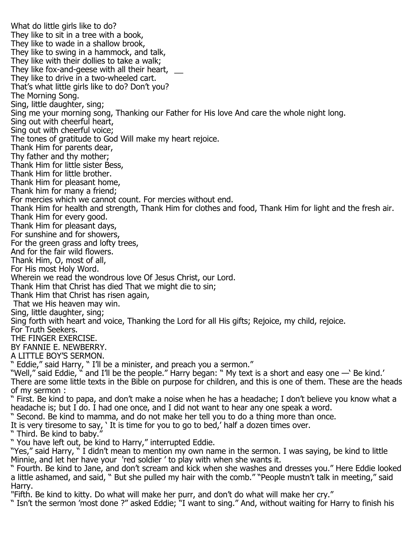What do little girls like to do? They like to sit in a tree with a book, They like to wade in a shallow brook, They like to swing in a hammock, and talk, They like with their dollies to take a walk; They like fox-and-geese with all their heart, \_\_ They like to drive in a two-wheeled cart. That's what little girls like to do? Don't you? The Morning Song. Sing, little daughter, sing; Sing me your morning song, Thanking our Father for His love And care the whole night long. Sing out with cheerful heart, Sing out with cheerful voice; The tones of gratitude to God Will make my heart rejoice. Thank Him for parents dear, Thy father and thy mother; Thank Him for little sister Bess, Thank Him for little brother. Thank Him for pleasant home, Thank him for many a friend; For mercies which we cannot count. For mercies without end. Thank Him for health and strength, Thank Him for clothes and food, Thank Him for light and the fresh air. Thank Him for every good. Thank Him for pleasant days, For sunshine and for showers, For the green grass and lofty trees, And for the fair wild flowers. Thank Him, O, most of all, For His most Holy Word. Wherein we read the wondrous love Of Jesus Christ, our Lord. Thank Him that Christ has died That we might die to sin; Thank Him that Christ has risen again, That we His heaven may win. Sing, little daughter, sing; Sing forth with heart and voice, Thanking the Lord for all His gifts; Rejoice, my child, rejoice. For Truth Seekers. THE FINGER EXERCISE. BY FANNIE E. NEWBERRY. A LITTLE BOY'S SERMON. " Eddie," said Harry, " I'll be a minister, and preach you a sermon." "Well," said Eddie, " and I'll be the people." Harry began: " My text is a short and easy one —' Be kind.' There are some little texts in the Bible on purpose for children, and this is one of them. These are the heads of my sermon : " First. Be kind to papa, and don't make a noise when he has a headache; I don't believe you know what a headache is; but I do. I had one once, and I did not want to hear any one speak a word. " Second. Be kind to mamma, and do not make her tell you to do a thing more than once. It is very tiresome to say, ' It is time for you to go to bed,' half a dozen times over. " Third. Be kind to baby." " You have left out, be kind to Harry," interrupted Eddie. "Yes," said Harry, " I didn't mean to mention my own name in the sermon. I was saying, be kind to little Minnie, and let her have your 'red soldier ' to play with when she wants it. " Fourth. Be kind to Jane, and don't scream and kick when she washes and dresses you." Here Eddie looked a little ashamed, and said, " But she pulled my hair with the comb." "People mustn't talk in meeting," said Harry. "Fifth. Be kind to kitty. Do what will make her purr, and don't do what will make her cry."

" Isn't the sermon 'most done ?" asked Eddie; "I want to sing." And, without waiting for Harry to finish his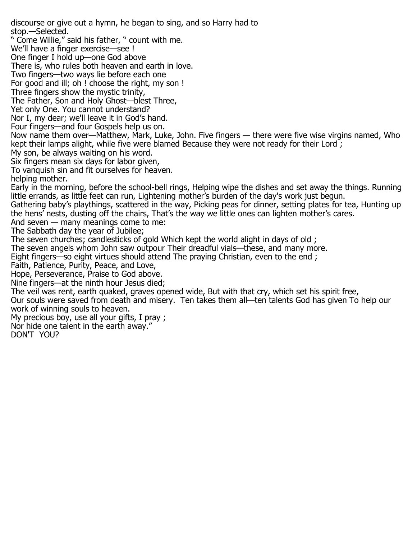discourse or give out a hymn, he began to sing, and so Harry had to stop.—Selected.

" Come Willie," said his father, " count with me.

We'll have a finger exercise—see !

One finger I hold up—one God above

There is, who rules both heaven and earth in love.

Two fingers—two ways lie before each one

For good and ill; oh ! choose the right, my son !

Three fingers show the mystic trinity,

The Father, Son and Holy Ghost—blest Three,

Yet only One. You cannot understand?

Nor I, my dear; we'll leave it in God's hand.

Four fingers—and four Gospels help us on.

Now name them over—Matthew, Mark, Luke, John. Five fingers — there were five wise virgins named, Who kept their lamps alight, while five were blamed Because they were not ready for their Lord ;

My son, be always waiting on his word.

Six fingers mean six days for labor given,

To vanquish sin and fit ourselves for heaven.

helping mother.

Early in the morning, before the school-bell rings, Helping wipe the dishes and set away the things. Running little errands, as little feet can run, Lightening mother's burden of the day's work just begun.

Gathering baby's playthings, scattered in the way, Picking peas for dinner, setting plates for tea, Hunting up the hens' nests, dusting off the chairs, That's the way we little ones can lighten mother's cares.

And seven — many meanings come to me:

The Sabbath day the year of Jubilee;

The seven churches; candlesticks of gold Which kept the world alight in days of old ;

The seven angels whom John saw outpour Their dreadful vials—these, and many more.

Eight fingers—so eight virtues should attend The praying Christian, even to the end ;

Faith, Patience, Purity, Peace, and Love,

Hope, Perseverance, Praise to God above.

Nine fingers—at the ninth hour Jesus died;

The veil was rent, earth quaked, graves opened wide, But with that cry, which set his spirit free,

Our souls were saved from death and misery. Ten takes them all—ten talents God has given To help our work of winning souls to heaven.

My precious boy, use all your gifts, I pray ;

Nor hide one talent in the earth away."

DON'T YOU?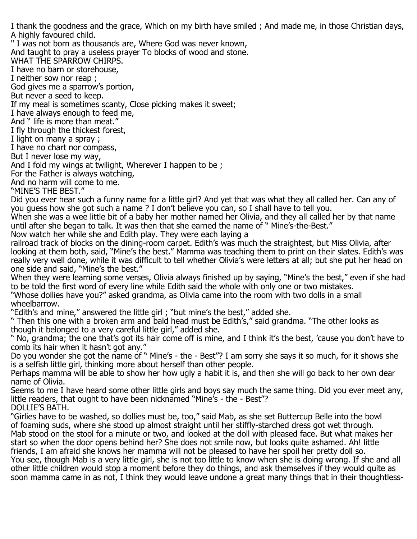I thank the goodness and the grace, Which on my birth have smiled ; And made me, in those Christian days, A highly favoured child.

" I was not born as thousands are, Where God was never known,

And taught to pray a useless prayer To blocks of wood and stone.

WHAT THE SPARROW CHIRPS.

I have no barn or storehouse,

I neither sow nor reap ;

God gives me a sparrow's portion,

But never a seed to keep.

If my meal is sometimes scanty, Close picking makes it sweet;

I have always enough to feed me,

And " life is more than meat."

I fly through the thickest forest,

I light on many a spray ;

I have no chart nor compass,

But I never lose my way,

And I fold my wings at twilight, Wherever I happen to be;

For the Father is always watching,

And no harm will come to me.

"MINE'S THE BEST."

Did you ever hear such a funny name for a little girl? And yet that was what they all called her. Can any of you guess how she got such a name ? I don't believe you can, so I shall have to tell you.

When she was a wee little bit of a baby her mother named her Olivia, and they all called her by that name until after she began to talk. It was then that she earned the name of " Mine's-the-Best."

Now watch her while she and Edith play. They were each laying a

railroad track of blocks on the dining-room carpet. Edith's was much the straightest, but Miss Olivia, after looking at them both, said, "Mine's the best." Mamma was teaching them to print on their slates. Edith's was really very well done, while it was difficult to tell whether Olivia's were letters at all; but she put her head on one side and said, "Mine's the best."

When they were learning some verses, Olivia always finished up by saying, "Mine's the best," even if she had to be told the first word of every line while Edith said the whole with only one or two mistakes.

"Whose dollies have you?" asked grandma, as Olivia came into the room with two dolls in a small wheelbarrow.

"Edith's and mine," answered the little girl ; "but mine's the best," added she.

" Then this one with a broken arm and bald head must be Edith's," said grandma. "The other looks as though it belonged to a very careful little girl," added she.

" No, grandma; the one that's got its hair come off is mine, and I think it's the best, 'cause you don't have to comb its hair when it hasn't got any."

Do you wonder she got the name of " Mine's - the - Best''? I am sorry she says it so much, for it shows she is a selfish little girl, thinking more about herself than other people.

Perhaps mamma will be able to show her how ugly a habit it is, and then she will go back to her own dear name of Olivia.

Seems to me I have heard some other little girls and boys say much the same thing. Did you ever meet any, little readers, that ought to have been nicknamed "Mine's - the - Best"? DOLLIE'S BATH.

"Girlies have to be washed, so dollies must be, too," said Mab, as she set Buttercup Belle into the bowl of foaming suds, where she stood up almost straight until her stiffly-starched dress got wet through. Mab stood on the stool for a minute or two, and looked at the doll with pleased face. But what makes her start so when the door opens behind her? She does not smile now, but looks quite ashamed. Ah! little friends, I am afraid she knows her mamma will not be pleased to have her spoil her pretty doll so. You see, though Mab is a very little girl, she is not too little to know when she is doing wrong. If she and all other little children would stop a moment before they do things, and ask themselves if they would quite as soon mamma came in as not, I think they would leave undone a great many things that in their thoughtless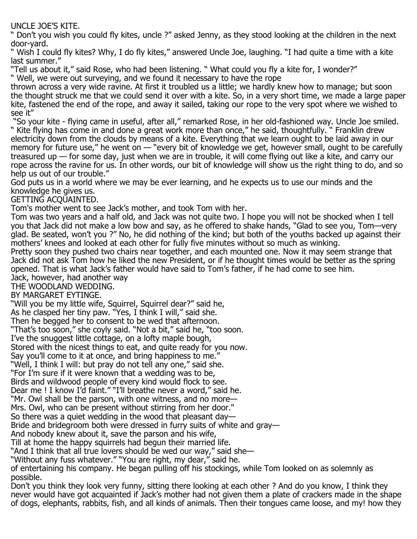UNCLE JOE'S KITE.

" Don't you wish you could fly kites, uncle ?" asked Jenny, as they stood looking at the children in the next door-yard.

" Wish I could fly kites? Why, I do fly kites," answered Uncle Joe, laughing. "I had quite a time with a kite last summer."

"Tell us about it," said Rose, who had been listening. " What could you fly a kite for, I wonder?" " Well, we were out surveying, and we found it necessary to have the rope

thrown across a very wide ravine. At first it troubled us a little; we hardly knew how to manage; but soon the thought struck me that we could send it over with a kite. So, in a very short time, we made a large paper kite, fastened the end of the rope, and away it sailed, taking our rope to the very spot where we wished to see it"

 "So your kite - flying came in useful, after all," remarked Rose, in her old-fashioned way. Uncle Joe smiled. " Kite flying has come in and done a great work more than once," he said, thoughtfully. " Franklin drew electricity down from the clouds by means of a kite. Everything that we learn ought to be laid away in our memory for future use," he went on — "every bit of knowledge we get, however small, ought to be carefully treasured up — for some day, just when we are in trouble, it will come flying out like a kite, and carry our rope across the ravine for us. In other words, our bit of knowledge will show us the right thing to do, and so help us out of our trouble."

God puts us in a world where we may be ever learning, and he expects us to use our minds and the knowledge he gives us.

GETTING ACQUAINTED.

Tom's mother went to see Jack's mother, and took Tom with her.

Tom was two years and a half old, and Jack was not quite two. I hope you will not be shocked when I tell you that Jack did not make a low bow and say, as he offered to shake hands, "Glad to see you, Tom—very glad. Be seated, won't you ?" No, he did nothing of the kind; but both of the youths backed up against their mothers' knees and looked at each other for fully five minutes without so much as winking.

Pretty soon they pushed two chairs near together, and each mounted one. Now it may seem strange that Jack did not ask Tom how he liked the new President, or if he thought times would be better as the spring opened. That is what Jack's father would have said to Tom's father, if he had come to see him. Jack, however, had another way

THE WOODLAND WEDDING.

BY MARGARET EYTINGE.

"Will you be my little wife, Squirrel, Squirrel dear?" said he,

As he clasped her tiny paw. "Yes, I think I will," said she.

Then he begged her to consent to be wed that afternoon.

"That's too soon," she coyly said. "Not a bit," said he, "too soon.

I've the snuggest little cottage, on a lofty maple bough,

Stored with the nicest things to eat, and quite ready for you now.

Say you'll come to it at once, and bring happiness to me."

"Well, I think I will: but pray do not tell any one," said she.

"For I'm sure if it were known that a wedding was to be,

Birds and wildwood people of every kind would flock to see.

Dear me ! I know I'd faint." "I'll breathe never a word," said he.

"Mr. Owl shall be the parson, with one witness, and no more— Mrs. Owl, who can be present without stirring from her door."

So there was a quiet wedding in the wood that pleasant day—

Bride and bridegroom both were dressed in furry suits of white and gray—

And nobody knew about it, save the parson and his wife,

Till at home the happy squirrels had begun their married life.

"And I think that all true lovers should be wed our way," said she—

"Without any fuss whatever." "You are right, my dear," said he.

of entertaining his company. He began pulling off his stockings, while Tom looked on as solemnly as possible.

Don't you think they look very funny, sitting there looking at each other ? And do you know, I think they never would have got acquainted if Jack's mother had not given them a plate of crackers made in the shape of dogs, elephants, rabbits, fish, and all kinds of animals. Then their tongues came loose, and my! how they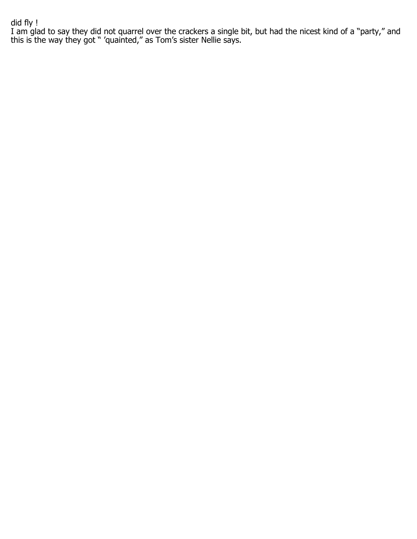# did fly !

I am glad to say they did not quarrel over the crackers a single bit, but had the nicest kind of a "party," and this is the way they got " 'quainted," as Tom's sister Nellie says.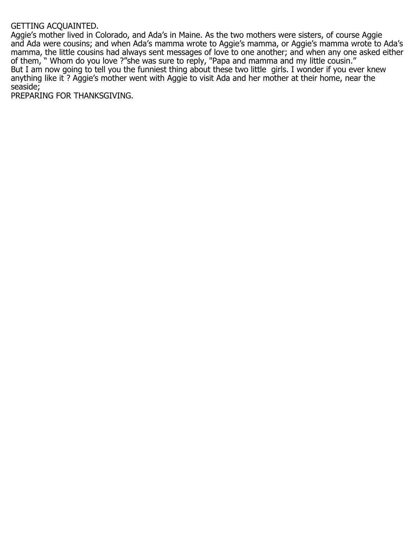#### GETTING ACQUAINTED.

Aggie's mother lived in Colorado, and Ada's in Maine. As the two mothers were sisters, of course Aggie and Ada were cousins; and when Ada's mamma wrote to Aggie's mamma, or Aggie's mamma wrote to Ada's mamma, the little cousins had always sent messages of love to one another; and when any one asked either of them, " Whom do you love ?"she was sure to reply, "Papa and mamma and my little cousin." But I am now going to tell you the funniest thing about these two little girls. I wonder if you ever knew anything like it ? Aggie's mother went with Aggie to visit Ada and her mother at their home, near the seaside;

PREPARING FOR THANKSGIVING.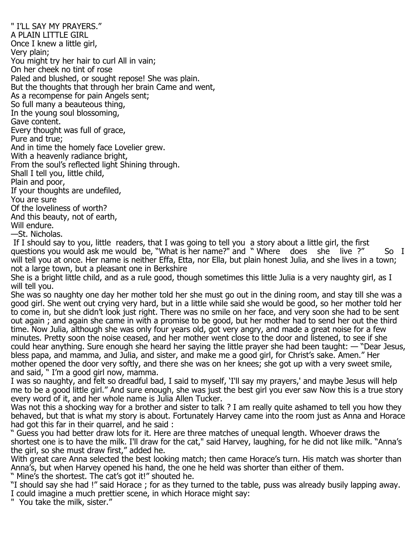" I'LL SAY MY PRAYERS." A PLAIN LITTLE GIRL Once I knew a little girl, Very plain; You might try her hair to curl All in vain; On her cheek no tint of rose Paled and blushed, or sought repose! She was plain. But the thoughts that through her brain Came and went, As a recompense for pain Angels sent; So full many a beauteous thing, In the young soul blossoming, Gave content. Every thought was full of grace, Pure and true; And in time the homely face Lovelier grew. With a heavenly radiance bright, From the soul's reflected light Shining through. Shall I tell you, little child, Plain and poor, If your thoughts are undefiled, You are sure Of the loveliness of worth? And this beauty, not of earth, Will endure. —St. Nicholas.

 If I should say to you, little readers, that I was going to tell you a story about a little girl, the first questions you would ask me would be, "What is her name?" and "Where does she live ?" So I will tell you at once. Her name is neither Effa, Etta, nor Ella, but plain honest Julia, and she lives in a town; not a large town, but a pleasant one in Berkshire

She is a bright little child, and as a rule good, though sometimes this little Julia is a very naughty girl, as I will tell you.

She was so naughty one day her mother told her she must go out in the dining room, and stay till she was a good girl. She went out crying very hard, but in a little while said she would be good, so her mother told her to come in, but she didn't look just right. There was no smile on her face, and very soon she had to be sent out again ; and again she came in with a promise to be good, but her mother had to send her out the third time. Now Julia, although she was only four years old, got very angry, and made a great noise for a few minutes. Pretty soon the noise ceased, and her mother went close to the door and listened, to see if she could hear anything. Sure enough she heard her saying the little prayer she had been taught: — "Dear Jesus, bless papa, and mamma, and Julia, and sister, and make me a good girl, for Christ's sake. Amen." Her mother opened the door very softly, and there she was on her knees; she got up with a very sweet smile, and said, " I'm a good girl now, mamma.

I was so naughty, and felt so dreadful bad, I said to myself, 'I'll say my prayers,' and maybe Jesus will help me to be a good little girl." And sure enough, she was just the best girl you ever saw Now this is a true story every word of it, and her whole name is Julia Allen Tucker.

Was not this a shocking way for a brother and sister to talk ? I am really quite ashamed to tell you how they behaved, but that is what my story is about. Fortunately Harvey came into the room just as Anna and Horace had got this far in their quarrel, and he said :

" Guess you had better draw lots for it. Here are three matches of unequal length. Whoever draws the shortest one is to have the milk. I'll draw for the cat," said Harvey, laughing, for he did not like milk. "Anna's the girl, so she must draw first," added he.

With great care Anna selected the best looking match; then came Horace's turn. His match was shorter than Anna's, but when Harvey opened his hand, the one he held was shorter than either of them. " Mine's the shortest. The cat's got it!" shouted he.

"I should say she had !" said Horace ; for as they turned to the table, puss was already busily lapping away. I could imagine a much prettier scene, in which Horace might say:

" You take the milk, sister."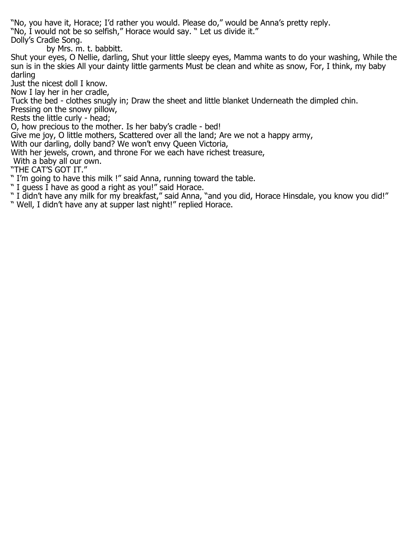"No, you have it, Horace; I'd rather you would. Please do," would be Anna's pretty reply. "No, I would not be so selfish," Horace would say. " Let us divide it." Dolly's Cradle Song. by Mrs. m. t. babbitt.

Shut your eyes, O Nellie, darling, Shut your little sleepy eyes, Mamma wants to do your washing, While the sun is in the skies All your dainty little garments Must be clean and white as snow, For, I think, my baby darling

Just the nicest doll I know.

Now I lay her in her cradle,

Tuck the bed - clothes snugly in; Draw the sheet and little blanket Underneath the dimpled chin.

Pressing on the snowy pillow,

Rests the little curly - head;

O, how precious to the mother. Is her baby's cradle - bed!

Give me joy, O little mothers, Scattered over all the land; Are we not a happy army,

With our darling, dolly band? We won't envy Queen Victoria,

With her jewels, crown, and throne For we each have richest treasure,

With a baby all our own.

"THE CAT'S GOT IT."

" I'm going to have this milk !" said Anna, running toward the table.

" I guess I have as good a right as you!" said Horace.

" I didn't have any milk for my breakfast," said Anna, "and you did, Horace Hinsdale, you know you did!"

" Well, I didn't have any at supper last night!" replied Horace.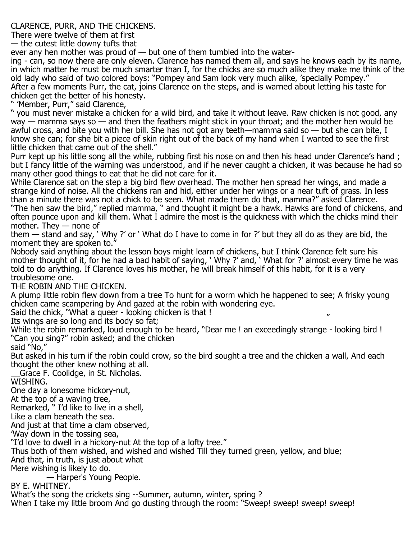CLARENCE, PURR, AND THE CHICKENS.

There were twelve of them at first

— the cutest little downy tufts that

ever any hen mother was proud of — but one of them tumbled into the water-

ing - can, so now there are only eleven. Clarence has named them all, and says he knows each by its name, in which matter he must be much smarter than I, for the chicks are so much alike they make me think of the old lady who said of two colored boys: "Pompey and Sam look very much alike, 'specially Pompey." After a few moments Purr, the cat, joins Clarence on the steps, and is warned about letting his taste for chicken get the better of his honesty.

" 'Member, Purr," said Clarence,

" you must never mistake a chicken for a wild bird, and take it without leave. Raw chicken is not good, any way — mamma says so — and then the feathers might stick in your throat; and the mother hen would be awful cross, and bite you with her bill. She has not got any teeth—mamma said so — but she can bite, I know she can; for she bit a piece of skin right out of the back of my hand when I wanted to see the first little chicken that came out of the shell."

Purr kept up his little song all the while, rubbing first his nose on and then his head under Clarence's hand ; but I fancy little of the warning was understood, and if he never caught a chicken, it was because he had so many other good things to eat that he did not care for it.

While Clarence sat on the step a big bird flew overhead. The mother hen spread her wings, and made a strange kind of noise. All the chickens ran and hid, either under her wings or a near tuft of grass. In less than a minute there was not a chick to be seen. What made them do that, mamma?" asked Clarence.

"The hen saw the bird," replied mamma, " and thought it might be a hawk. Hawks are fond of chickens, and often pounce upon and kill them. What I admire the most is the quickness with which the chicks mind their mother. They — none of

them — stand and say, ' Why ?' or ' What do I have to come in for ?' but they all do as they are bid, the moment they are spoken to.

Nobody said anything about the lesson boys might learn of chickens, but I think Clarence felt sure his mother thought of it, for he had a bad habit of saying, ' Why ?' and, ' What for ?' almost every time he was told to do anything. If Clarence loves his mother, he will break himself of this habit, for it is a very troublesome one.

THE ROBIN AND THE CHICKEN.

A plump little robin flew down from a tree To hunt for a worm which he happened to see; A frisky young chicken came scampering by And gazed at the robin with wondering eye.

Said the chick, "What a queer - looking chicken is that !

Its wings are so long and its body so fat;

While the robin remarked, loud enough to be heard, "Dear me ! an exceedingly strange - looking bird ! "Can you sing?" robin asked; and the chicken

said "No,"

But asked in his turn if the robin could crow, so the bird sought a tree and the chicken a wall, And each thought the other knew nothing at all.

\_\_Grace F. Coolidge, in St. Nicholas.

WISHING.

One day a lonesome hickory-nut,

At the top of a waving tree,

Remarked, " I'd like to live in a shell,

Like a clam beneath the sea.

And just at that time a clam observed,

'Way down in the tossing sea,

"I'd love to dwell in a hickory-nut At the top of a lofty tree."

Thus both of them wished, and wished and wished Till they turned green, yellow, and blue;

And that, in truth, is just about what

Mere wishing is likely to do.

— Harper's Young People.

BY E. WHITNEY.

What's the song the crickets sing --Summer, autumn, winter, spring ?

When I take my little broom And go dusting through the room: "Sweep! sweep! sweep! sweep!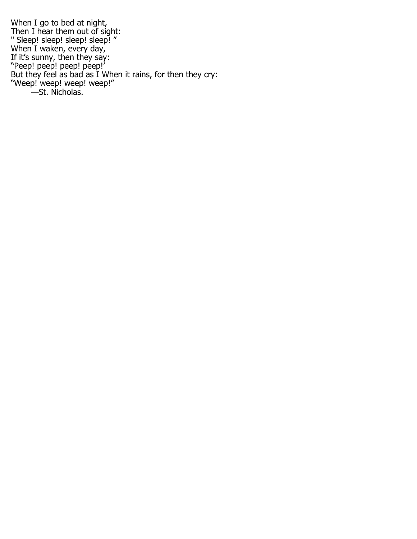When I go to bed at night, Then I hear them out of sight: " Sleep! sleep! sleep! sleep! " When I waken, every day, If it's sunny, then they say: "Peep! peep! peep! peep!' But they feel as bad as I When it rains, for then they cry: "Weep! weep! weep! weep!" —St. Nicholas.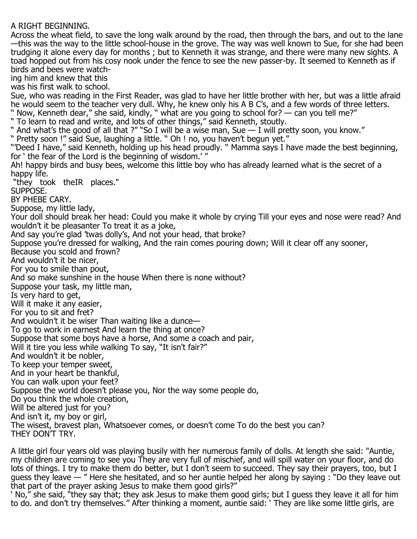#### A RIGHT BEGINNING.

Across the wheat field, to save the long walk around by the road, then through the bars, and out to the lane —this was the way to the little school-house in the grove. The way was well known to Sue, for she had been trudging it alone every day for months ; but to Kenneth it was strange, and there were many new sights. A toad hopped out from his cosy nook under the fence to see the new passer-by. It seemed to Kenneth as if birds and bees were watch-

ing him and knew that this

was his first walk to school.

Sue, who was reading in the First Reader, was glad to have her little brother with her, but was a little afraid he would seem to the teacher very dull. Why, he knew only his A B C's, and a few words of three letters. " Now, Kenneth dear," she said, kindly, " what are you going to school for? — can you tell me?"

" To learn to read and write, and lots of other things," said Kenneth, stoutly.

" And what's the good of all that ?" "So I will be a wise man, Sue — I will pretty soon, you know."

" Pretty soon !" said Sue, laughing a little. " Oh ! no, you haven't begun yet."

"'Deed I have," said Kenneth, holding up his head proudly. " Mamma says I have made the best beginning, for ' the fear of the Lord is the beginning of wisdom.' "

Ah! happy birds and busy bees, welcome this little boy who has already learned what is the secret of a happy life.

"they took theIR places."

SUPPOSE.

BY PHEBE CARY.

Suppose, my little lady,

Your doll should break her head: Could you make it whole by crying Till your eyes and nose were read? And wouldn't it be pleasanter To treat it as a joke,

And say you're glad 'twas dolly's, And not your head, that broke?

Suppose you're dressed for walking, And the rain comes pouring down; Will it clear off any sooner,

Because you scold and frown?

And wouldn't it be nicer,

For you to smile than pout,

And so make sunshine in the house When there is none without?

Suppose your task, my little man,

Is very hard to get,

Will it make it any easier,

For you to sit and fret?

And wouldn't it be wiser Than waiting like a dunce—

To go to work in earnest And learn the thing at once?

Suppose that some boys have a horse, And some a coach and pair,

Will it tire you less while walking To say, "It isn't fair?"

And wouldn't it be nobler,

To keep your temper sweet,

And in your heart be thankful,

You can walk upon your feet?

Suppose the world doesn't please you, Nor the way some people do,

Do you think the whole creation,

Will be altered just for you?

And isn't it, my boy or girl,

The wisest, bravest plan, Whatsoever comes, or doesn't come To do the best you can?

THEY DON'T TRY.

A little girl four years old was playing busily with her numerous family of dolls. At length she said: "Auntie, my children are coming to see you They are very full of mischief, and will spill water on your floor, and do lots of things. I try to make them do better, but I don't seem to succeed. They say their prayers, too, but I guess they leave — " Here she hesitated, and so her auntie helped her along by saying : "Do they leave out that part of the prayer asking Jesus to make them good girls?"

' No," she said, "they say that; they ask Jesus to make them good girls; but I guess they leave it all for him to do. and don't try themselves." After thinking a moment, auntie said: ' They are like some little girls, are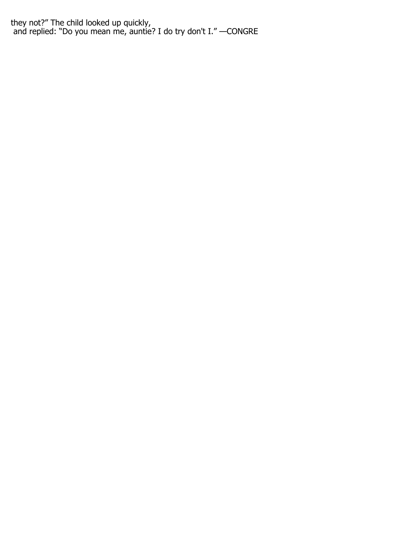they not?" The child looked up quickly, and replied: "Do you mean me, auntie? I do try don't I." —CONGRE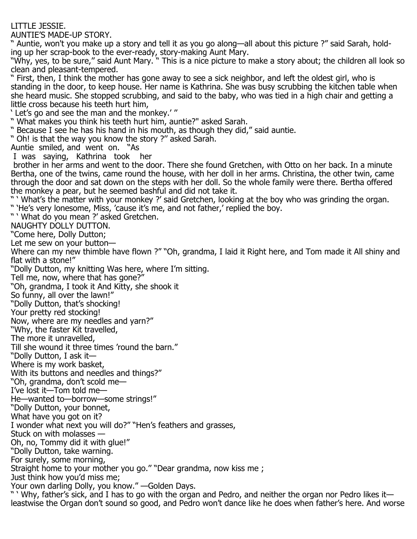#### LITTLE JESSIE.

AUNTIE'S MADE-UP STORY.

" Auntie, won't you make up a story and tell it as you go along—all about this picture ?" said Sarah, holding up her scrap-book to the ever-ready, story-making Aunt Mary.

"Why, yes, to be sure," said Aunt Mary. " This is a nice picture to make a story about; the children all look so clean and pleasant-tempered.

" First, then, I think the mother has gone away to see a sick neighbor, and left the oldest girl, who is standing in the door, to keep house. Her name is Kathrina. She was busy scrubbing the kitchen table when she heard music. She stopped scrubbing, and said to the baby, who was tied in a high chair and getting a little cross because his teeth hurt him,

' Let's go and see the man and the monkey.' ''

" What makes you think his teeth hurt him, auntie?" asked Sarah.

" Because I see he has his hand in his mouth, as though they did," said auntie.

" Oh! is that the way you know the story ?'' asked Sarah.

Auntie smiled, and went on. "As

I was saying, Kathrina took her

 brother in her arms and went to the door. There she found Gretchen, with Otto on her back. In a minute Bertha, one of the twins, came round the house, with her doll in her arms. Christina, the other twin, came through the door and sat down on the steps with her doll. So the whole family were there. Bertha offered the monkey a pear, but he seemed bashful and did not take it.

" ' What's the matter with your monkey ?' said Gretchen, looking at the boy who was grinding the organ. " 'He's very lonesome, Miss, 'cause it's me, and not father,' replied the boy.

" ' What do you mean ?' asked Gretchen.

NAUGHTY DOLLY DUTTON.

"Come here, Dolly Dutton;

Let me sew on your button—

Where can my new thimble have flown ?" "Oh, grandma, I laid it Right here, and Tom made it All shiny and flat with a stone!"

"Dolly Dutton, my knitting Was here, where I'm sitting.

Tell me, now, where that has gone?"

"Oh, grandma, I took it And Kitty, she shook it

So funny, all over the lawn!"

"Dolly Dutton, that's shocking!

Your pretty red stocking!

Now, where are my needles and yarn?"

''Why, the faster Kit travelled,

The more it unravelled,

Till she wound it three times 'round the barn."

"Dolly Dutton, I ask it—

Where is my work basket,

With its buttons and needles and things?"

"Oh, grandma, don't scold me—

I've lost it—Tom told me—

He—wanted to—borrow—some strings!"

"Dolly Dutton, your bonnet,

What have you got on it?

I wonder what next you will do?" "Hen's feathers and grasses,

Stuck on with molasses —

Oh, no, Tommy did it with glue!"

"Dolly Dutton, take warning.

For surely, some morning,

Straight home to your mother you go.'' "Dear grandma, now kiss me ;

Just think how you'd miss me;

Your own darling Dolly, you know." —Golden Days.

" ' Why, father's sick, and I has to go with the organ and Pedro, and neither the organ nor Pedro likes it leastwise the Organ don't sound so good, and Pedro won't dance like he does when father's here. And worse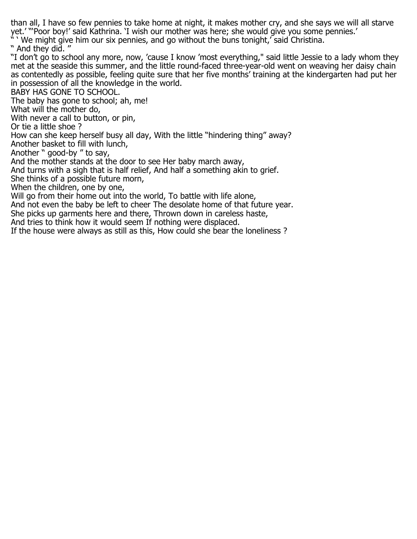than all, I have so few pennies to take home at night, it makes mother cry, and she says we will all starve yet.' "'Poor boy!' said Kathrina. 'I wish our mother was here; she would give you some pennies.'

" We might give him our six pennies, and go without the buns tonight, said Christina.

" And they did. ''

"I don't go to school any more, now, 'cause I know 'most everything," said little Jessie to a lady whom they met at the seaside this summer, and the little round-faced three-year-old went on weaving her daisy chain as contentedly as possible, feeling quite sure that her five months' training at the kindergarten had put her in possession of all the knowledge in the world.

BABY HAS GONE TO SCHOOL.

The baby has gone to school; ah, me!

What will the mother do,

With never a call to button, or pin,

Or tie a little shoe ?

How can she keep herself busy all day, With the little "hindering thing" away?

Another basket to fill with lunch,

Another " good-by " to say,

And the mother stands at the door to see Her baby march away,

And turns with a sigh that is half relief, And half a something akin to grief.

She thinks of a possible future morn,

When the children, one by one,

Will go from their home out into the world, To battle with life alone,

And not even the baby be left to cheer The desolate home of that future year.

She picks up garments here and there, Thrown down in careless haste,

And tries to think how it would seem If nothing were displaced.

If the house were always as still as this, How could she bear the loneliness ?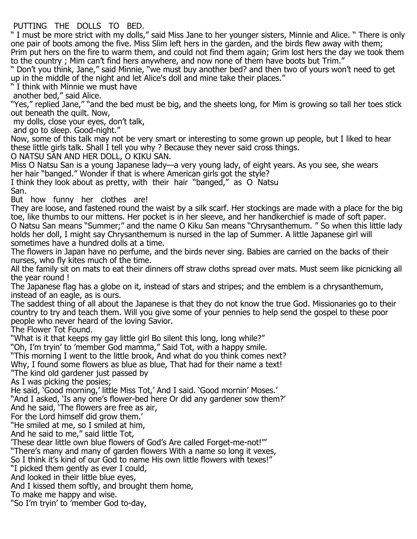PUTTING THE DOLLS TO BED.

" I must be more strict with my dolls," said Miss Jane to her younger sisters, Minnie and Alice. " There is only one pair of boots among the five. Miss Slim left hers in the garden, and the birds flew away with them; Prim put hers on the fire to warm them, and could not find them again; Grim lost hers the day we took them to the country ; Mim can't find hers anywhere, and now none of them have boots but Trim."

" Don't you think, Jane," said Minnie, "we must buy another bed? and then two of yours won't need to get up in the middle of the night and let Alice's doll and mine take their places."

" I think with Minnie we must have

another bed," said Alice.

"Yes," replied Jane," "and the bed must be big, and the sheets long, for Mim is growing so tall her toes stick out beneath the quilt. Now,

my dolls, close your eyes, don't talk,

and go to sleep. Good-night."

Now, some of this talk may not be very smart or interesting to some grown up people, but I liked to hear these little girls talk. Shall I tell you why ? Because they never said cross things.

O NATSU SAN AND HER DOLL, O KIKU SAN.

Miss O Natsu San is a young Japanese lady—a very young lady, of eight years. As you see, she wears her hair "banged." Wonder if that is where American girls got the style?

I think they look about as pretty, with their hair "banged," as O Natsu San.

But how funny her clothes are!

They are loose, and fastened round the waist by a silk scarf. Her stockings are made with a place for the big toe, like thumbs to our mittens. Her pocket is in her sleeve, and her handkerchief is made of soft paper. O Natsu San means "Summer;" and the name O Kiku San means "Chrysanthemum. " So when this little lady holds her doll, I might say Chrysanthemum is nursed in the lap of Summer. A little Japanese girl will sometimes have a hundred dolls at a time.

The flowers in Japan have no perfume, and the birds never sing. Babies are carried on the backs of their nurses, who fly kites much of the time.

All the family sit on mats to eat their dinners off straw cloths spread over mats. Must seem like picnicking all the year round !

The Japanese flag has a globe on it, instead of stars and stripes; and the emblem is a chrysanthemum, instead of an eagle, as is ours.

The saddest thing of all about the Japanese is that they do not know the true God. Missionaries go to their country to try and teach them. Will you give some of your pennies to help send the gospel to these poor people who never heard of the loving Savior.

The Flower Tot Found.

"What is it that keeps my gay little girl Bo silent this long, long while?"

"Oh, I'm tryin' to 'member God mamma," Said Tot, with a happy smile.

"This morning I went to the little brook, And what do you think comes next?

Why, I found some flowers as blue as blue, That had for their name a text!

"The kind old gardener just passed by

As I was picking the posies;

He said, 'Good morning,' little Miss Tot,' And I said. 'Good mornin' Moses.'

"And I asked, 'Is any one's flower-bed here Or did any gardener sow them?'

And he said, 'The flowers are free as air,

For the Lord himself did grow them.'

"He smiled at me, so I smiled at him,

And he said to me," said little Tot,

'These dear little own blue flowers of God's Are called Forget-me-not!"'

"There's many and many of garden flowers With a name so long it vexes,

So I think it's kind of our God to name His own little flowers with texes!"

"I picked them gently as ever I could,

And looked in their little blue eyes,

And I kissed them softly, and brought them home,

To make me happy and wise.

"So I'm tryin' to 'member God to-day,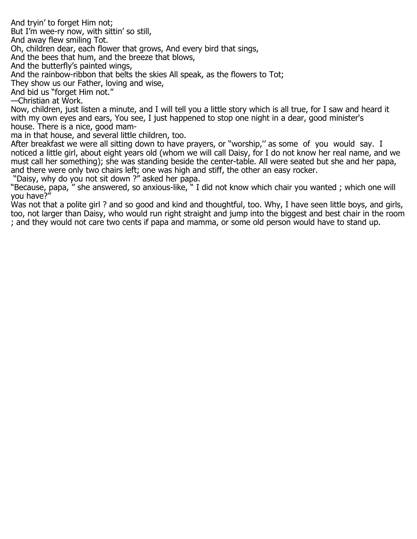And tryin' to forget Him not; But I'm wee-ry now, with sittin' so still,

And away flew smiling Tot.

Oh, children dear, each flower that grows, And every bird that sings,

And the bees that hum, and the breeze that blows,

And the butterfly's painted wings,

And the rainbow-ribbon that belts the skies All speak, as the flowers to Tot;

They show us our Father, loving and wise,

And bid us "forget Him not."

—Christian at Work.

Now, children, just listen a minute, and I will tell you a little story which is all true, for I saw and heard it with my own eyes and ears, You see, I just happened to stop one night in a dear, good minister's house. There is a nice, good mam-

ma in that house, and several little children, too.

After breakfast we were all sitting down to have prayers, or "worship," as some of you would say. I noticed a little girl, about eight years old (whom we will call Daisy, for I do not know her real name, and we must call her something); she was standing beside the center-table. All were seated but she and her papa, and there were only two chairs left; one was high and stiff, the other an easy rocker.

"Daisy, why do you not sit down ?" asked her papa.

"Because, papa, '' she answered, so anxious-like, " I did not know which chair you wanted ; which one will you have?''

Was not that a polite girl ? and so good and kind and thoughtful, too. Why, I have seen little boys, and girls, too, not larger than Daisy, who would run right straight and jump into the biggest and best chair in the room ; and they would not care two cents if papa and mamma, or some old person would have to stand up.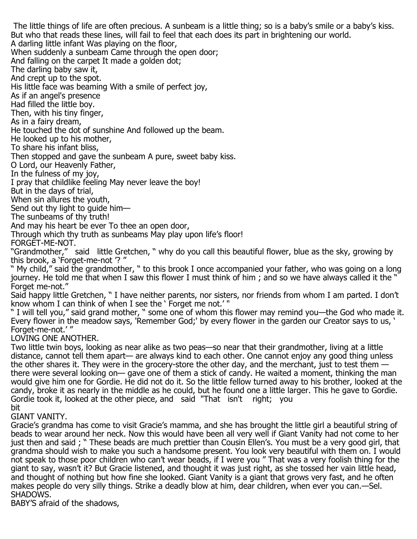The little things of life are often precious. A sunbeam is a little thing; so is a baby's smile or a baby's kiss. But who that reads these lines, will fail to feel that each does its part in brightening our world. A darling little infant Was playing on the floor, When suddenly a sunbeam Came through the open door; And falling on the carpet It made a golden dot; The darling baby saw it, And crept up to the spot. His little face was beaming With a smile of perfect joy, As if an angel's presence Had filled the little boy. Then, with his tiny finger, As in a fairy dream, He touched the dot of sunshine And followed up the beam. He looked up to his mother, To share his infant bliss, Then stopped and gave the sunbeam A pure, sweet baby kiss. O Lord, our Heavenly Father, In the fulness of my joy, I pray that childlike feeling May never leave the boy! But in the days of trial, When sin allures the youth, Send out thy light to guide him— The sunbeams of thy truth! And may his heart be ever To thee an open door, Through which thy truth as sunbeams May play upon life's floor! FORGET-ME-NOT.

"Grandmother," said little Gretchen, " why do you call this beautiful flower, blue as the sky, growing by this brook, a 'Forget-me-not '? "

" My child," said the grandmother, " to this brook I once accompanied your father, who was going on a long journey. He told me that when I saw this flower I must think of him ; and so we have always called it the " Forget me-not."

Said happy little Gretchen, " I have neither parents, nor sisters, nor friends from whom I am parted. I don't know whom I can think of when I see the ' Forget me not.' "

" I will tell you," said grand mother, " some one of whom this flower may remind you—the God who made it. Every flower in the meadow says, 'Remember God;' by every flower in the garden our Creator says to us, ' Forget-me-not.' "

# LOVING ONE ANOTHER.

Two little twin boys, looking as near alike as two peas—so near that their grandmother, living at a little distance, cannot tell them apart— are always kind to each other. One cannot enjoy any good thing unless the other shares it. They were in the grocery-store the other day, and the merchant, just to test them there were several looking on— gave one of them a stick of candy. He waited a moment, thinking the man would give him one for Gordie. He did not do it. So the little fellow turned away to his brother, looked at the candy, broke it as nearly in the middle as he could, but he found one a little larger. This he gave to Gordie. Gordie took it, looked at the other piece, and said "That isn't right; you bit

#### GIANT VANITY.

Gracie's grandma has come to visit Gracie's mamma, and she has brought the little girl a beautiful string of beads to wear around her neck. Now this would have been all very well if Giant Vanity had not come to her just then and said ; " These beads are much prettier than Cousin Ellen's. You must be a very good girl, that grandma should wish to make you such a handsome present. You look very beautiful with them on. I would not speak to those poor children who can't wear beads, if I were you " That was a very foolish thing for the giant to say, wasn't it? But Gracie listened, and thought it was just right, as she tossed her vain little head, and thought of nothing but how fine she looked. Giant Vanity is a giant that grows very fast, and he often makes people do very silly things. Strike a deadly blow at him, dear children, when ever you can.—Sel. SHADOWS.

BABY'S afraid of the shadows,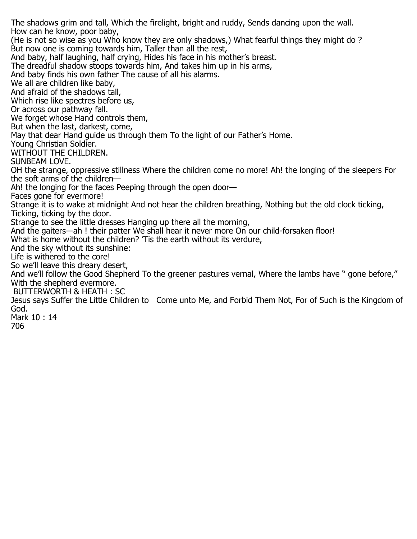The shadows grim and tall, Which the firelight, bright and ruddy, Sends dancing upon the wall. How can he know, poor baby, (He is not so wise as you Who know they are only shadows,) What fearful things they might do? But now one is coming towards him, Taller than all the rest, And baby, half laughing, half crying, Hides his face in his mother's breast. The dreadful shadow stoops towards him, And takes him up in his arms, And baby finds his own father The cause of all his alarms. We all are children like baby, And afraid of the shadows tall, Which rise like spectres before us, Or across our pathway fall. We forget whose Hand controls them, But when the last, darkest, come, May that dear Hand guide us through them To the light of our Father's Home. Young Christian Soldier. WITHOUT THE CHILDREN. SUNBEAM LOVE. OH the strange, oppressive stillness Where the children come no more! Ah! the longing of the sleepers For the soft arms of the children— Ah! the longing for the faces Peeping through the open door— Faces gone for evermore! Strange it is to wake at midnight And not hear the children breathing, Nothing but the old clock ticking, Ticking, ticking by the door. Strange to see the little dresses Hanging up there all the morning, And the gaiters—ah ! their patter We shall hear it never more On our child-forsaken floor! What is home without the children? Tis the earth without its verdure, And the sky without its sunshine: Life is withered to the core! So we'll leave this dreary desert, And we'll follow the Good Shepherd To the greener pastures vernal, Where the lambs have " gone before," With the shepherd evermore. BUTTERWORTH & HEATH : SC Jesus says Suffer the Little Children to Come unto Me, and Forbid Them Not, For of Such is the Kingdom of God. Mark 10 : 14 706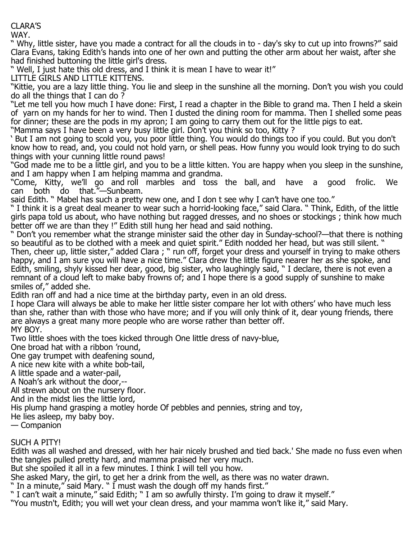CLARA'S

WAY.

" Why, little sister, have you made a contract for all the clouds in to - day's sky to cut up into frowns?" said Clara Evans, taking Edith's hands into one of her own and putting the other arm about her waist, after she had finished buttoning the little girl's dress.

" Well, I just hate this old dress, and I think it is mean I have to wear it!"

LITTLE GIRLS AND LITTLE KITTENS.

"Kittie, you are a lazy little thing. You lie and sleep in the sunshine all the morning. Don't you wish you could do all the things that I can do ?

"Let me tell you how much I have done: First, I read a chapter in the Bible to grand ma. Then I held a skein of yarn on my hands for her to wind. Then I dusted the dining room for mamma. Then I shelled some peas for dinner; these are the pods in my apron; I am going to carry them out for the little pigs to eat.

"Mamma says I have been a very busy little girl. Don't you think so too, Kitty ?

' But I am not going to scold you, you poor little thing. You would do things too if you could. But you don't know how to read, and, you could not hold yarn, or shell peas. How funny you would look trying to do such things with your cunning little round paws!

"God made me to be a little girl, and you to be a little kitten. You are happy when you sleep in the sunshine, and I am happy when I am helping mamma and grandma.

"Come, Kitty, we'll go and roll marbles and toss the ball, and have a good frolic. We  $\dot{}$  do that."—Sunbeam.

said Edith. " Mabel has such a pretty new one, and I don t see why I can't have one too."

" I think it is a great deal meaner to wear such a horrid-looking face," said Clara. " Think, Edith, of the little girls papa told us about, who have nothing but ragged dresses, and no shoes or stockings ; think how much better off we are than they !" Edith still hung her head and said nothing.

" Don't you remember what the strange minister said the other day in Sunday-school?—that there is nothing so beautiful as to be clothed with a meek and quiet spirit." Edith nodded her head, but was still silent. " Then, cheer up, little sister," added Clara; " run off, forget your dress and yourself in trying to make others happy, and I am sure you will have a nice time." Clara drew the little figure nearer her as she spoke, and Edith, smiling, shyly kissed her dear, good, big sister, who laughingly said, " I declare, there is not even a remnant of a cloud left to make baby frowns of; and I hope there is a good supply of sunshine to make smiles of," added she.

Edith ran off and had a nice time at the birthday party, even in an old dress.

I hope Clara will always be able to make her little sister compare her lot with others' who have much less than she, rather than with those who have more; and if you will only think of it, dear young friends, there are always a great many more people who are worse rather than better off. MY BOY.

Two little shoes with the toes kicked through One little dress of navy-blue,

One broad hat with a ribbon 'round,

One gay trumpet with deafening sound,

A nice new kite with a white bob-tail,

A little spade and a water-pail,

A Noah's ark without the door,--

All strewn about on the nursery floor.

And in the midst lies the little lord,

His plump hand grasping a motley horde Of pebbles and pennies, string and toy,

He lies asleep, my baby boy.

— Companion

# SUCH A PITY!

Edith was all washed and dressed, with her hair nicely brushed and tied back.' She made no fuss even when the tangles pulled pretty hard, and mamma praised her very much.

But she spoiled it all in a few minutes. I think I will tell you how.

She asked Mary, the girl, to get her a drink from the well, as there was no water drawn.

" In a minute," said Mary. " I must wash the dough off my hands first."

" I can't wait a minute," said Edith; " I am so awfully thirsty. I'm going to draw it myself."

"You mustn't, Edith; you will wet your clean dress, and your mamma won't like it," said Mary.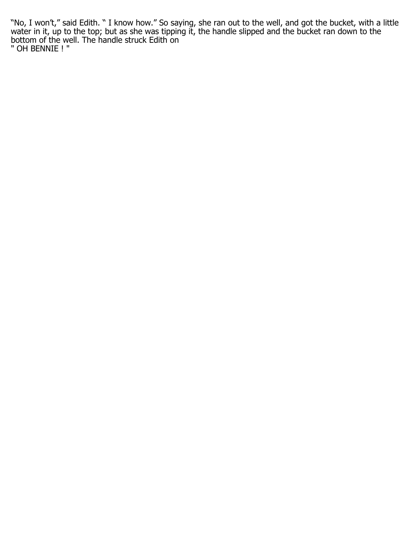"No, I won't," said Edith. " I know how." So saying, she ran out to the well, and got the bucket, with a little water in it, up to the top; but as she was tipping it, the handle slipped and the bucket ran down to the bottom of the well. The handle struck Edith on " OH BENNIE ! "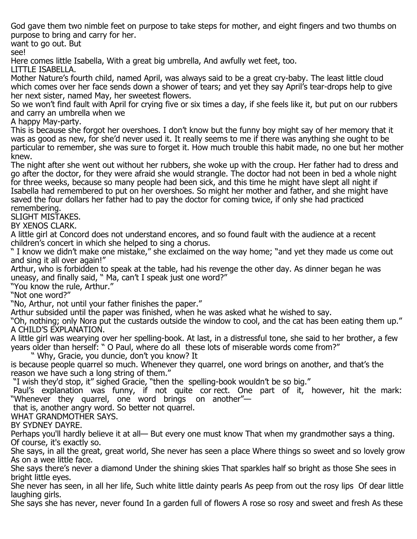God gave them two nimble feet on purpose to take steps for mother, and eight fingers and two thumbs on purpose to bring and carry for her.

want to go out. But

see!

Here comes little Isabella, With a great big umbrella, And awfully wet feet, too.

LITTLE ISABELLA.

Mother Nature's fourth child, named April, was always said to be a great cry-baby. The least little cloud which comes over her face sends down a shower of tears; and yet they say April's tear-drops help to give her next sister, named May, her sweetest flowers.

So we won't find fault with April for crying five or six times a day, if she feels like it, but put on our rubbers and carry an umbrella when we

A happy May-party.

This is because she forgot her overshoes. I don't know but the funny boy might say of her memory that it was as good as new, for she'd never used it. It really seems to me if there was anything she ought to be particular to remember, she was sure to forget it. How much trouble this habit made, no one but her mother knew.

The night after she went out without her rubbers, she woke up with the croup. Her father had to dress and go after the doctor, for they were afraid she would strangle. The doctor had not been in bed a whole night for three weeks, because so many people had been sick, and this time he might have slept all night if Isabella had remembered to put on her overshoes. So might her mother and father, and she might have saved the four dollars her father had to pay the doctor for coming twice, if only she had practiced remembering.

SLIGHT MISTAKES.

BY XENOS CLARK.

A little girl at Concord does not understand encores, and so found fault with the audience at a recent children's concert in which she helped to sing a chorus.

" I know we didn't make one mistake," she exclaimed on the way home; "and yet they made us come out and sing it all over again!"

Arthur, who is forbidden to speak at the table, had his revenge the other day. As dinner began he was uneasy, and finally said, " Ma, can't I speak just one word?"

"You know the rule, Arthur."

"Not one word?"

"No, Arthur, not until your father finishes the paper."

Arthur subsided until the paper was finished, when he was asked what he wished to say.

"Oh, nothing; only Nora put the custards outside the window to cool, and the cat has been eating them up." A CHILD'S EXPLANATION.

A little girl was wearying over her spelling-book. At last, in a distressful tone, she said to her brother, a few years older than herself: " O Paul, where do all these lots of miserable words come from?"

" Why, Gracie, you duncie, don't you know? It

is because people quarrel so much. Whenever they quarrel, one word brings on another, and that's the reason we have such a long string of them."

"I wish they'd stop, it" sighed Gracie, "then the spelling-book wouldn't be so big."

 Paul's explanation was funny, if not quite cor rect. One part of it, however, hit the mark: "Whenever they quarrel, one word brings on another"—

that is, another angry word. So better not quarrel.

WHAT GRANDMOTHER SAYS.

BY SYDNEY DAYRE.

Perhaps you'll hardly believe it at all— But every one must know That when my grandmother says a thing. Of course, it's exactly so.

She says, in all the great, great world, She never has seen a place Where things so sweet and so lovely grow As on a wee little face.

She says there's never a diamond Under the shining skies That sparkles half so bright as those She sees in bright little eyes.

She never has seen, in all her life, Such white little dainty pearls As peep from out the rosy lips Of dear little laughing girls.

She says she has never, never found In a garden full of flowers A rose so rosy and sweet and fresh As these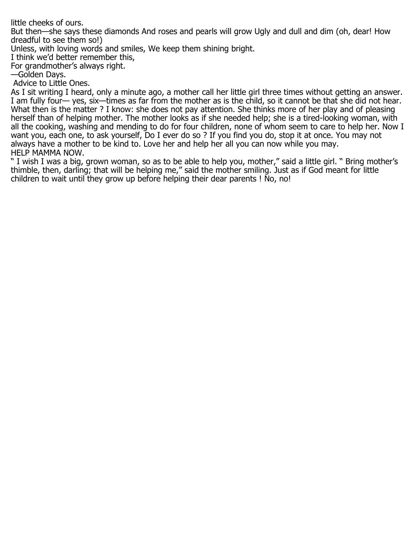little cheeks of ours.

But then—she says these diamonds And roses and pearls will grow Ugly and dull and dim (oh, dear! How dreadful to see them so!)

Unless, with loving words and smiles, We keep them shining bright.

I think we'd better remember this,

For grandmother's always right.

—Golden Days.

Advice to Little Ones.

As I sit writing I heard, only a minute ago, a mother call her little girl three times without getting an answer. I am fully four— yes, six—times as far from the mother as is the child, so it cannot be that she did not hear. What then is the matter ? I know: she does not pay attention. She thinks more of her play and of pleasing herself than of helping mother. The mother looks as if she needed help; she is a tired-looking woman, with all the cooking, washing and mending to do for four children, none of whom seem to care to help her. Now I want you, each one, to ask yourself, Do I ever do so ? If you find you do, stop it at once. You may not always have a mother to be kind to. Love her and help her all you can now while you may. HELP MAMMA NOW.

" I wish I was a big, grown woman, so as to be able to help you, mother," said a little girl. " Bring mother's thimble, then, darling; that will be helping me," said the mother smiling. Just as if God meant for little children to wait until they grow up before helping their dear parents ! No, no!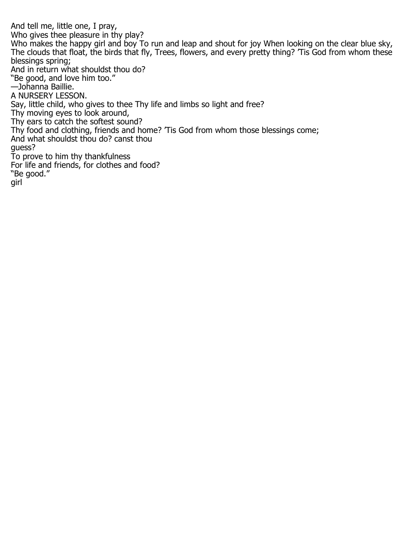And tell me, little one, I pray, Who gives thee pleasure in thy play? Who makes the happy girl and boy To run and leap and shout for joy When looking on the clear blue sky, The clouds that float, the birds that fly, Trees, flowers, and every pretty thing? 'Tis God from whom these blessings spring; And in return what shouldst thou do? "Be good, and love him too." —Johanna Baillie. A NURSERY LESSON. Say, little child, who gives to thee Thy life and limbs so light and free? Thy moving eyes to look around, Thy ears to catch the softest sound? Thy food and clothing, friends and home? 'Tis God from whom those blessings come; And what shouldst thou do? canst thou guess? To prove to him thy thankfulness For life and friends, for clothes and food? "Be good." girl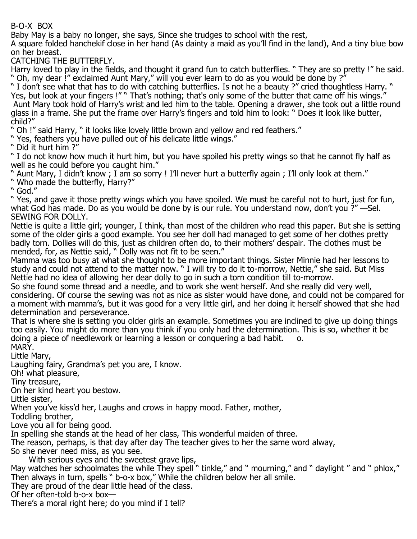#### B-O-X BOX

Baby May is a baby no longer, she says, Since she trudges to school with the rest,

A square folded hanchekif close in her hand (As dainty a maid as you'll find in the land), And a tiny blue bow on her breast.

CATCHING THE BUTTERFLY.

Harry loved to play in the fields, and thought it grand fun to catch butterflies. " They are so pretty !" he said. " Oh, my dear !" exclaimed Aunt Mary," will you ever learn to do as you would be done by ?"

" I don't see what that has to do with catching butterflies. Is not he a beauty ?" cried thoughtless Harry. " Yes, but look at your fingers !" " That's nothing; that's only some of the butter that came off his wings."

 Aunt Mary took hold of Harry's wrist and led him to the table. Opening a drawer, she took out a little round glass in a frame. She put the frame over Harry's fingers and told him to look: " Does it look like butter, child?"

" Oh !" said Harry, " it looks like lovely little brown and yellow and red feathers."

" Yes, feathers you have pulled out of his delicate little wings."

" Did it hurt him ?"

" I do not know how much it hurt him, but you have spoiled his pretty wings so that he cannot fly half as well as he could before you caught him."

" Aunt Mary, I didn't know ; I am so sorry ! I'll never hurt a butterfly again ; I'll only look at them."

" Who made the butterfly, Harry?"

" God."

" Yes, and gave it those pretty wings which you have spoiled. We must be careful not to hurt, just for fun, what God has made. Do as you would be done by is our rule. You understand now, don't you ?" —Sel. SEWING FOR DOLLY.

Nettie is quite a little girl; younger, I think, than most of the children who read this paper. But she is setting some of the older girls a good example. You see her doll had managed to get some of her clothes pretty badly torn. Dollies will do this, just as children often do, to their mothers' despair. The clothes must be mended, for, as Nettie said, " Dolly was not fit to be seen."

Mamma was too busy at what she thought to be more important things. Sister Minnie had her lessons to study and could not attend to the matter now. " I will try to do it to-morrow, Nettie," she said. But Miss Nettie had no idea of allowing her dear dolly to go in such a torn condition till to-morrow.

So she found some thread and a needle, and to work she went herself. And she really did very well, considering. Of course the sewing was not as nice as sister would have done, and could not be compared for a moment with mamma's, but it was good for a very little girl, and her doing it herself showed that she had determination and perseverance.

That is where she is setting you older girls an example. Sometimes you are inclined to give up doing things too easily. You might do more than you think if you only had the determination. This is so, whether it be doing a piece of needlework or learning a lesson or conquering a bad habit. o. MARY.

Little Mary,

Laughing fairy, Grandma's pet you are, I know.

Oh! what pleasure,

Tiny treasure,

On her kind heart you bestow.

Little sister,

When you've kiss'd her, Laughs and crows in happy mood. Father, mother,

Toddling brother,

Love you all for being good.

In spelling she stands at the head of her class, This wonderful maiden of three.

The reason, perhaps, is that day after day The teacher gives to her the same word alway,

So she never need miss, as you see.

With serious eyes and the sweetest grave lips,

May watches her schoolmates the while They spell<sup>'</sup>" tinkle," and " mourning," and " daylight " and " phlox," Then always in turn, spells " b-o-x box," While the children below her all smile.

They are proud of the dear little head of the class.

Of her often-told b-o-x box—

There's a moral right here; do you mind if I tell?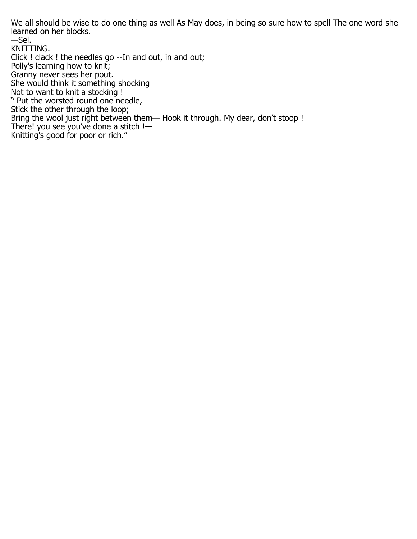We all should be wise to do one thing as well As May does, in being so sure how to spell The one word she learned on her blocks.

—Sel. KNITTING. Click ! clack ! the needles go --In and out, in and out; Polly's learning how to knit; Granny never sees her pout. She would think it something shocking Not to want to knit a stocking ! " Put the worsted round one needle, Stick the other through the loop; Bring the wool just right between them— Hook it through. My dear, don't stoop ! There! you see you've done a stitch !— Knitting's good for poor or rich."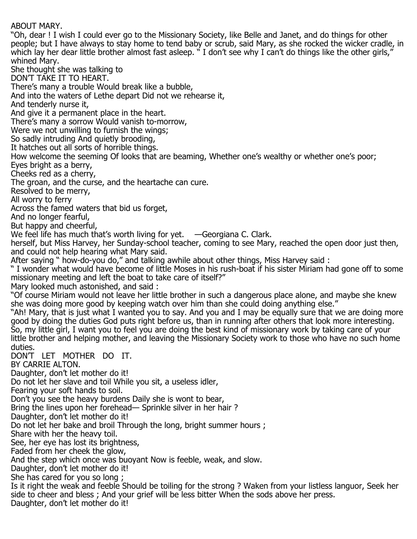ABOUT MARY.

"Oh, dear ! I wish I could ever go to the Missionary Society, like Belle and Janet, and do things for other people; but I have always to stay home to tend baby or scrub, said Mary, as she rocked the wicker cradle, in which lay her dear little brother almost fast asleep. " I don't see why I can't do things like the other girls, whined Mary.

She thought she was talking to

DON'T TAKE IT TO HEART.

There's many a trouble Would break like a bubble,

And into the waters of Lethe depart Did not we rehearse it,

And tenderly nurse it,

And give it a permanent place in the heart.

There's many a sorrow Would vanish to-morrow,

Were we not unwilling to furnish the wings;

So sadly intruding And quietly brooding,

It hatches out all sorts of horrible things.

How welcome the seeming Of looks that are beaming, Whether one's wealthy or whether one's poor;

Eyes bright as a berry,

Cheeks red as a cherry,

The groan, and the curse, and the heartache can cure.

Resolved to be merry,

All worry to ferry

Across the famed waters that bid us forget,

And no longer fearful,

But happy and cheerful,

We feel life has much that's worth living for yet. —Georgiana C. Clark.

herself, but Miss Harvey, her Sunday-school teacher, coming to see Mary, reached the open door just then, and could not help hearing what Mary said.

After saying " how-do-you do," and talking awhile about other things, Miss Harvey said :

" I wonder what would have become of little Moses in his rush-boat if his sister Miriam had gone off to some missionary meeting and left the boat to take care of itself?"

Mary looked much astonished, and said :

"Of course Miriam would not leave her little brother in such a dangerous place alone, and maybe she knew she was doing more good by keeping watch over him than she could doing anything else."

"Ah! Mary, that is just what I wanted you to say. And you and I may be equally sure that we are doing more good by doing the duties God puts right before us, than in running after others that look more interesting. So, my little girl, I want you to feel you are doing the best kind of missionary work by taking care of your little brother and helping mother, and leaving the Missionary Society work to those who have no such home duties.

DON'T LET MOTHER DO IT.

BY CARRIE ALTON.

Daughter, don't let mother do it!

Do not let her slave and toil While you sit, a useless idler,

Fearing your soft hands to soil.

Don't you see the heavy burdens Daily she is wont to bear,

Bring the lines upon her forehead— Sprinkle silver in her hair ?

Daughter, don't let mother do it!

Do not let her bake and broil Through the long, bright summer hours ;

Share with her the heavy toil.

See, her eye has lost its brightness,

Faded from her cheek the glow,

And the step which once was buoyant Now is feeble, weak, and slow.

Daughter, don't let mother do it!

She has cared for you so long ;

Is it right the weak and feeble Should be toiling for the strong ? Waken from your listless languor, Seek her side to cheer and bless ; And your grief will be less bitter When the sods above her press. Daughter, don't let mother do it!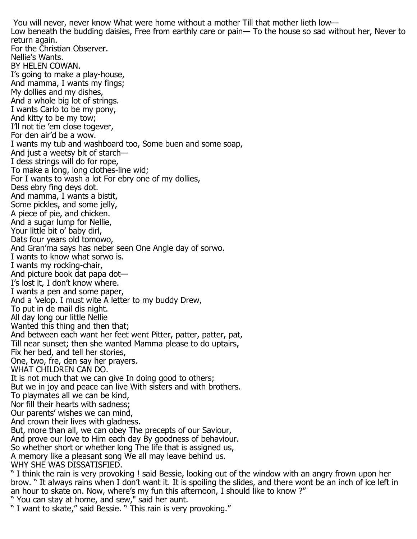You will never, never know What were home without a mother Till that mother lieth low— Low beneath the budding daisies, Free from earthly care or pain— To the house so sad without her, Never to return again. For the Christian Observer. Nellie's Wants. BY HELEN COWAN. I's going to make a play-house, And mamma, I wants my fings; My dollies and my dishes, And a whole big lot of strings. I wants Carlo to be my pony, And kitty to be my tow; I'll not tie 'em close togever, For den air'd be a wow. I wants my tub and washboard too, Some buen and some soap, And just a weetsy bit of starch— I dess strings will do for rope, To make a long, long clothes-line wid; For I wants to wash a lot For ebry one of my dollies, Dess ebry fing deys dot. And mamma, I wants a bistit, Some pickles, and some jelly, A piece of pie, and chicken. And a sugar lump for Nellie, Your little bit o' baby dirl, Dats four years old tomowo, And Gran'ma says has neber seen One Angle day of sorwo. I wants to know what sorwo is. I wants my rocking-chair, And picture book dat papa dot— I's lost it, I don't know where. I wants a pen and some paper, And a 'velop. I must wite A letter to my buddy Drew, To put in de mail dis night. All day long our little Nellie Wanted this thing and then that; And between each want her feet went Pitter, patter, patter, pat, Till near sunset; then she wanted Mamma please to do uptairs, Fix her bed, and tell her stories, One, two, fre, den say her prayers. WHAT CHILDREN CAN DO. It is not much that we can give In doing good to others; But we in joy and peace can live With sisters and with brothers. To playmates all we can be kind, Nor fill their hearts with sadness; Our parents' wishes we can mind, And crown their lives with gladness. But, more than all, we can obey The precepts of our Saviour, And prove our love to Him each day By goodness of behaviour. So whether short or whether long The life that is assigned us, A memory like a pleasant song We all may leave behind us. WHY SHE WAS DISSATISFIED. " I think the rain is very provoking ! said Bessie, looking out of the window with an angry frown upon her brow. " It always rains when I don't want it. It is spoiling the slides, and there wont be an inch of ice left in

an hour to skate on. Now, where's my fun this afternoon, I should like to know ?" " You can stay at home, and sew," said her aunt.

" I want to skate," said Bessie. " This rain is very provoking."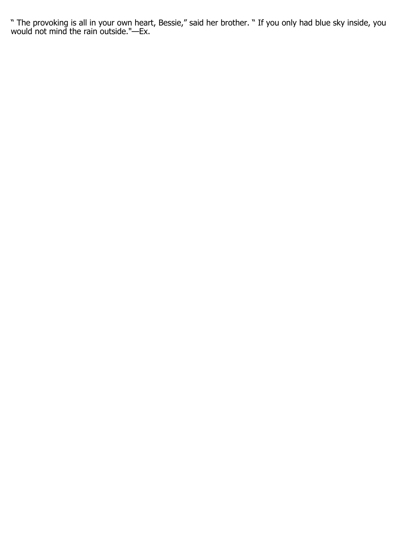" The provoking is all in your own heart, Bessie," said her brother. " If you only had blue sky inside, you would not mind the rain outside."—Ex.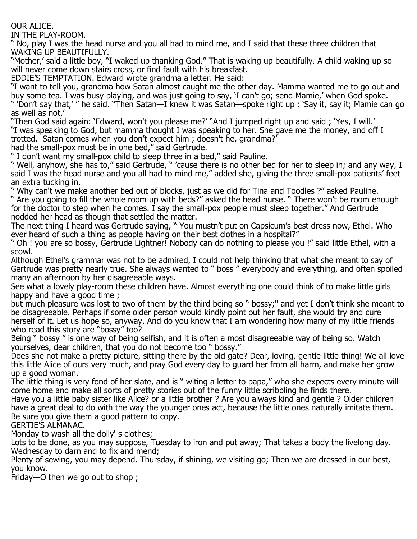OUR ALICE.

IN THE PLAY-ROOM.

" No, play I was the head nurse and you all had to mind me, and I said that these three children that WAKING UP BEAUTIFULLY.

"Mother,' said a little boy, "I waked up thanking God.'' That is waking up beautifully. A child waking up so will never come down stairs cross, or find fault with his breakfast.

EDDIE'S TEMPTATION. Edward wrote grandma a letter. He said:

"I want to tell you, grandma how Satan almost caught me the other day. Mamma wanted me to go out and buy some tea. I was busy playing, and was just going to say, 'I can't go; send Mamie,' when God spoke. " 'Don't say that,' " he said. "Then Satan—I knew it was Satan—spoke right up : 'Say it, say it; Mamie can go as well as not.'

"Then God said again: 'Edward, won't you please me?' "And I jumped right up and said ; 'Yes, I will.' "I was speaking to God, but mamma thought I was speaking to her. She gave me the money, and off I trotted. Satan comes when you don't expect him ; doesn't he, grandma?'

had the small-pox must be in one bed," said Gertrude.

" I don't want my small-pox child to sleep three in a bed," said Pauline.

" Well, anyhow, she has to," said Gertrude, " 'cause there is no other bed for her to sleep in; and any way, I said I was the head nurse and you all had to mind me," added she, giving the three small-pox patients' feet an extra tucking in.

" Why can't we make another bed out of blocks, just as we did for Tina and Toodles ?" asked Pauline. " Are you going to fill the whole room up with beds?" asked the head nurse. " There won't be room enough for the doctor to step when he comes. I say the small-pox people must sleep together." And Gertrude nodded her head as though that settled the matter.

The next thing I heard was Gertrude saying, " You mustn't put on Capsicum's best dress now, Ethel. Who ever heard of such a thing as people having on their best clothes in a hospital?"

" Oh ! you are so bossy, Gertrude Lightner! Nobody can do nothing to please you !" said little Ethel, with a scowl.

Although Ethel's grammar was not to be admired, I could not help thinking that what she meant to say of Gertrude was pretty nearly true. She always wanted to " boss " everybody and everything, and often spoiled many an afternoon by her disagreeable ways.

See what a lovely play-room these children have. Almost everything one could think of to make little girls happy and have a good time ;

but much pleasure was lost to two of them by the third being so " bossy;" and yet I don't think she meant to be disagreeable. Perhaps if some older person would kindly point out her fault, she would try and cure herself of it. Let us hope so, anyway. And do you know that I am wondering how many of my little friends who read this story are "bossy" too?

Being " bossy " is one way of being selfish, and it is often a most disagreeable way of being so. Watch yourselves, dear children, that you do not become too " bossy."

Does she not make a pretty picture, sitting there by the old gate? Dear, loving, gentle little thing! We all love this little Alice of ours very much, and pray God every day to guard her from all harm, and make her grow up a good woman.

The little thing is very fond of her slate, and is " witing a letter to papa,'' who she expects every minute will come home and make all sorts of pretty stories out of the funny little scribbling he finds there.

Have you a little baby sister like Alice? or a little brother ? Are you always kind and gentle ? Older children have a great deal to do with the way the younger ones act, because the little ones naturally imitate them. Be sure you give them a good pattern to copy.

# GERTIE'S ALMANAC.

Monday to wash all the dolly' s clothes;

Lots to be done, as you may suppose, Tuesday to iron and put away; That takes a body the livelong day. Wednesday to darn and to fix and mend;

Plenty of sewing, you may depend. Thursday, if shining, we visiting go; Then we are dressed in our best, you know.

Friday—O then we go out to shop ;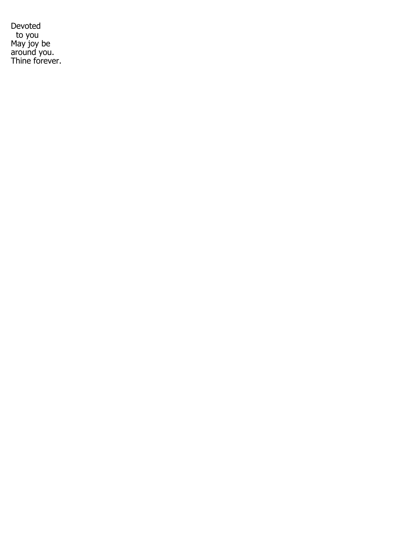Devoted to you May joy be around you. Thine forever.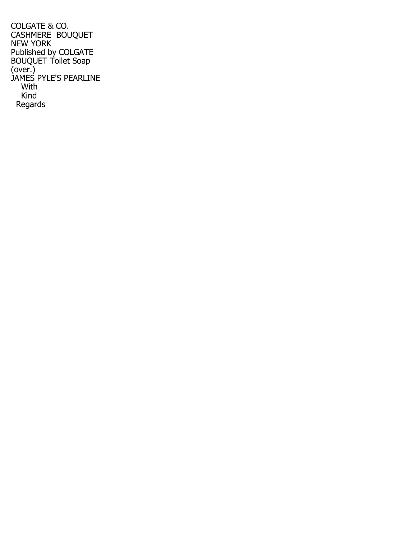COLGATE & CO. CASHMERE BOUQUET NEW YORK Published by COLGATE BOUQUET Toilet Soap (over.) JAMES PYLE'S PEARLINE With Kind Regards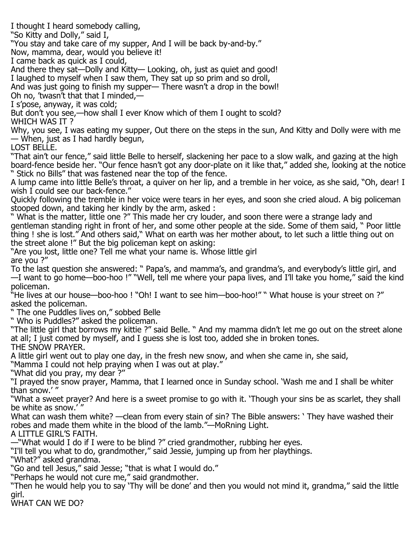I thought I heard somebody calling,

"So Kitty and Dolly," said I,

"You stay and take care of my supper, And I will be back by-and-by."

Now, mamma, dear, would you believe it!

I came back as quick as I could,

And there they sat—Dolly and Kitty— Looking, oh, just as quiet and good!

I laughed to myself when I saw them, They sat up so prim and so droll,

And was just going to finish my supper— There wasn't a drop in the bowl!

Oh no, 'twasn't that that I minded, $-$ 

I s'pose, anyway, it was cold;

But don't you see,—how shall I ever Know which of them I ought to scold? WHICH WAS IT ?

Why, you see, I was eating my supper, Out there on the steps in the sun, And Kitty and Dolly were with me — When, just as I had hardly begun,

LOST BELLE.

"That ain't our fence," said little Belle to herself, slackening her pace to a slow walk, and gazing at the high board-fence beside her. "Our fence hasn't got any door-plate on it like that," added she, looking at the notice " Stick no Bills" that was fastened near the top of the fence.

A lump came into little Belle's throat, a quiver on her lip, and a tremble in her voice, as she said, "Oh, dear! I wish I could see our back-fence."

Quickly following the tremble in her voice were tears in her eyes, and soon she cried aloud. A big policeman stooped down, and taking her kindly by the arm, asked :

" What is the matter, little one ?" This made her cry louder, and soon there were a strange lady and gentleman standing right in front of her, and some other people at the side. Some of them said, " Poor little thing ! she is lost." And others said," What on earth was her mother about, to let such a little thing out on the street alone !" But the big policeman kept on asking:

"Are you lost, little one? Tell me what your name is. Whose little girl are you ?"

To the last question she answered: " Papa's, and mamma's, and grandma's, and everybody's little girl, and —I want to go home—boo-hoo !" "Well, tell me where your papa lives, and I'll take you home," said the kind policeman.

"He lives at our house—boo-hoo ! "Oh! I want to see him—boo-hoo!" " What house is your street on ?" asked the policeman.

" The one Puddles lives on," sobbed Belle

" Who is Puddles?" asked the policeman.

"The little girl that borrows my kittie ?" said Belle. " And my mamma didn't let me go out on the street alone at all; I just comed by myself, and I guess she is lost too, added she in broken tones.

THE SNOW PRAYER.

A little girl went out to play one day, in the fresh new snow, and when she came in, she said,

"Mamma I could not help praying when I was out at play."

"What did you pray, my dear ?''

"I prayed the snow prayer, Mamma, that I learned once in Sunday school. 'Wash me and I shall be whiter than snow.' "

"What a sweet prayer? And here is a sweet promise to go with it. 'Though your sins be as scarlet, they shall be white as snow."

What can wash them white? —clean from every stain of sin? The Bible answers: ' They have washed their robes and made them white in the blood of the lamb."—MoRning Light.

A LITTLE GIRL'S FAITH.

—"What would I do if I were to be blind ?" cried grandmother, rubbing her eyes.

"I'll tell you what to do, grandmother," said Jessie, jumping up from her playthings.

"What?" asked grandma.

"Go and tell Jesus," said Jesse; "that is what I would do."

"Perhaps he would not cure me," said grandmother.

"Then he would help you to say 'Thy will be done' and then you would not mind it, grandma," said the little girl.

WHAT CAN WE DO?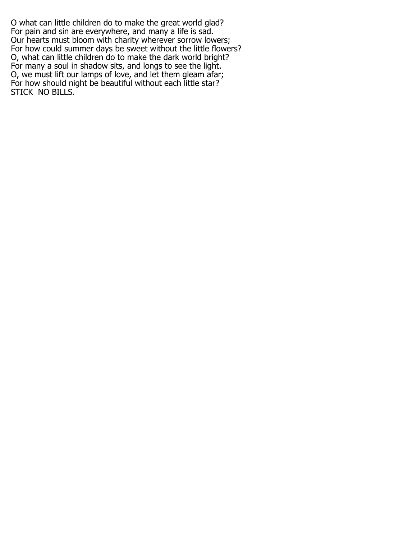O what can little children do to make the great world glad? For pain and sin are everywhere, and many a life is sad. Our hearts must bloom with charity wherever sorrow lowers; For how could summer days be sweet without the little flowers? O, what can little children do to make the dark world bright? For many a soul in shadow sits, and longs to see the light. O, we must lift our lamps of love, and let them gleam afar; For how should night be beautiful without each little star? STICK NO BILLS.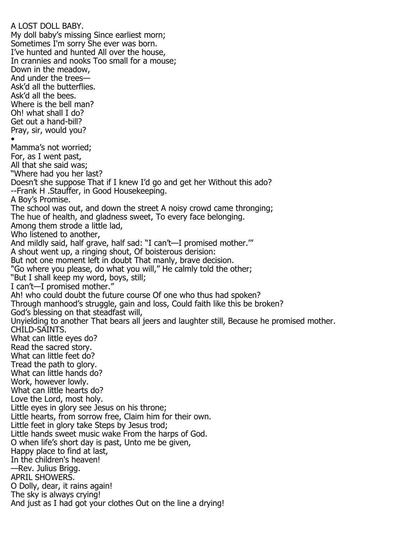A LOST DOLL BABY. My doll baby's missing Since earliest morn; Sometimes I'm sorry She ever was born. I've hunted and hunted All over the house, In crannies and nooks Too small for a mouse; Down in the meadow, And under the trees— Ask'd all the butterflies. Ask'd all the bees. Where is the bell man? Oh! what shall I do? Get out a hand-bill? Pray, sir, would you? • Mamma's not worried; For, as I went past, All that she said was; "Where had you her last? Doesn't she suppose That if I knew I'd go and get her Without this ado? --Frank H .Stauffer, in Good Housekeeping. A Boy's Promise. The school was out, and down the street A noisy crowd came thronging; The hue of health, and gladness sweet, To every face belonging. Among them strode a little lad, Who listened to another, And mildly said, half grave, half sad: "I can't—I promised mother.'" A shout went up, a ringing shout, Of boisterous derision: But not one moment left in doubt That manly, brave decision. ''Go where you please, do what you will," He calmly told the other; "But I shall keep my word, boys, still; I can't—I promised mother." Ah! who could doubt the future course Of one who thus had spoken? Through manhood's struggle, gain and loss, Could faith like this be broken? God's blessing on that steadfast will, Unyielding to another That bears all jeers and laughter still, Because he promised mother. CHILD-SAINTS. What can little eyes do? Read the sacred story. What can little feet do? Tread the path to glory. What can little hands do? Work, however lowly. What can little hearts do? Love the Lord, most holy. Little eyes in glory see Jesus on his throne; Little hearts, from sorrow free, Claim him for their own. Little feet in glory take Steps by Jesus trod; Little hands sweet music wake From the harps of God. O when life's short day is past, Unto me be given, Happy place to find at last, In the children's heaven! —Rev. Julius Brigg. APRIL SHOWERS. O Dolly, dear, it rains again! The sky is always crying! And just as I had got your clothes Out on the line a drying!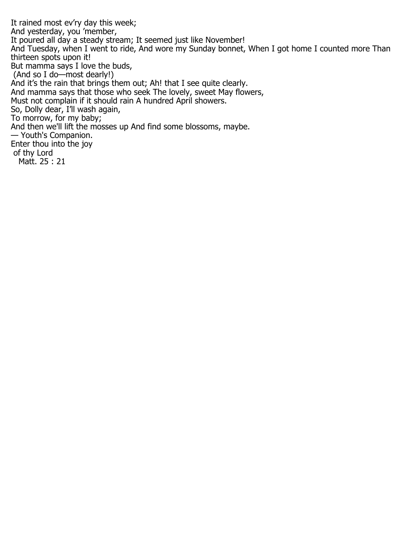It rained most ev'ry day this week; And yesterday, you 'member, It poured all day a steady stream; It seemed just like November! And Tuesday, when I went to ride, And wore my Sunday bonnet, When I got home I counted more Than thirteen spots upon it! But mamma says I love the buds, (And so I do—most dearly!) And it's the rain that brings them out; Ah! that I see quite clearly. And mamma says that those who seek The lovely, sweet May flowers, Must not complain if it should rain A hundred April showers. So, Dolly dear, I'll wash again, To morrow, for my baby; And then we'll lift the mosses up And find some blossoms, maybe. — Youth's Companion. Enter thou into the joy of thy Lord Matt. 25 : 21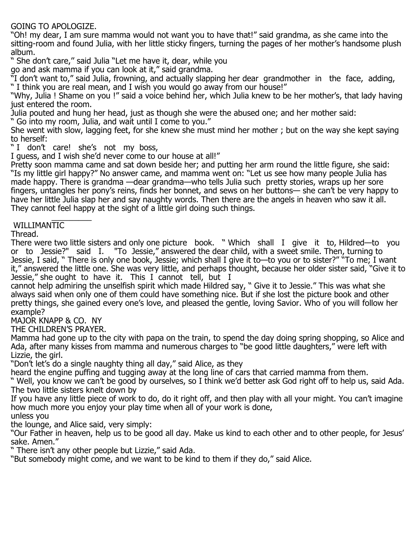## GOING TO APOLOGIZE.

"Oh! my dear, I am sure mamma would not want you to have that!" said grandma, as she came into the sitting-room and found Julia, with her little sticky fingers, turning the pages of her mother's handsome plush album.

" She don't care,'' said Julia "Let me have it, dear, while you

go and ask mamma if you can look at it," said grandma.

"I don't want to," said Julia, frowning, and actually slapping her dear grandmother in the face, adding, " I think you are real mean, and I wish you would go away from our house!"

"Why, Julia ! Shame on you !" said a voice behind her, which Julia knew to be her mother's, that lady having just entered the room.

Julia pouted and hung her head, just as though she were the abused one; and her mother said: " Go into my room, Julia, and wait until I come to you."

She went with slow, lagging feet, for she knew she must mind her mother ; but on the way she kept saying to herself:

" I don't care! she's not my boss,

I guess, and I wish she'd never come to our house at all!"

Pretty soon mamma came and sat down beside her; and putting her arm round the little figure, she said: "Is my little girl happy?" No answer came, and mamma went on: "Let us see how many people Julia has made happy. There is grandma —dear grandma—who tells Julia such pretty stories, wraps up her sore fingers, untangles her pony's reins, finds her bonnet, and sews on her buttons— she can't be very happy to have her little Julia slap her and say naughty words. Then there are the angels in heaven who saw it all. They cannot feel happy at the sight of a little girl doing such things.

## $\mathcal{L}=\mathcal{L}=\mathcal{L}=\mathcal{L}=\mathcal{L}=\mathcal{L}=\mathcal{L}=\mathcal{L}=\mathcal{L}=\mathcal{L}=\mathcal{L}=\mathcal{L}=\mathcal{L}=\mathcal{L}=\mathcal{L}=\mathcal{L}=\mathcal{L}=\mathcal{L}=\mathcal{L}=\mathcal{L}=\mathcal{L}=\mathcal{L}=\mathcal{L}=\mathcal{L}=\mathcal{L}=\mathcal{L}=\mathcal{L}=\mathcal{L}=\mathcal{L}=\mathcal{L}=\mathcal{L}=\mathcal{L}=\mathcal{L}=\mathcal{L}=\mathcal{L}=\mathcal{L}=\mathcal{$ WILLIMANTIC

Thread.

There were two little sisters and only one picture book. " Which shall I give it to, Hildred—to you or to Jessie?" said I. "To Jessie," answered the dear child, with a sweet smile. Then, turning to Jessie, I said, " There is only one book, Jessie; which shall I give it to—to you or to sister?" "To me; I want it," answered the little one. She was very little, and perhaps thought, because her older sister said, "Give it to Jessie," she ought to have it. This I cannot tell, but I

cannot help admiring the unselfish spirit which made Hildred say, " Give it to Jessie." This was what she always said when only one of them could have something nice. But if she lost the picture book and other pretty things, she gained every one's love, and pleased the gentle, loving Savior. Who of you will follow her example?

MAJOR KNAPP & CO. NY

THE CHILDREN'S PRAYER.

Mamma had gone up to the city with papa on the train, to spend the day doing spring shopping, so Alice and Ada, after many kisses from mamma and numerous charges to "be good little daughters," were left with Lizzie, the girl.

"Don't let's do a single naughty thing all day," said Alice, as they

heard the engine puffing and tugging away at the long line of cars that carried mamma from them.

" Well, you know we can't be good by ourselves, so I think we'd better ask God right off to help us, said Ada. The two little sisters knelt down by

If you have any little piece of work to do, do it right off, and then play with all your might. You can't imagine how much more you enjoy your play time when all of your work is done, unless you

the lounge, and Alice said, very simply:

"Our Father in heaven, help us to be good all day. Make us kind to each other and to other people, for Jesus' sake. Amen."

" There isn't any other people but Lizzie," said Ada.

"But somebody might come, and we want to be kind to them if they do," said Alice.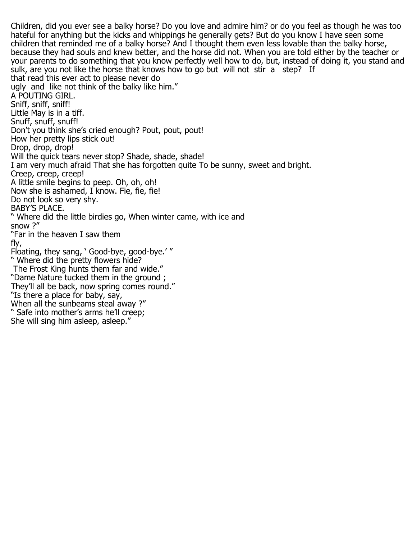Children, did you ever see a balky horse? Do you love and admire him? or do you feel as though he was too hateful for anything but the kicks and whippings he generally gets? But do you know I have seen some children that reminded me of a balky horse? And I thought them even less lovable than the balky horse, because they had souls and knew better, and the horse did not. When you are told either by the teacher or your parents to do something that you know perfectly well how to do, but, instead of doing it, you stand and sulk, are you not like the horse that knows how to go but will not stir a step? If that read this ever act to please never do ugly and like not think of the balky like him." A POUTING GIRL. Sniff, sniff, sniff! Little May is in a tiff. Snuff, snuff, snuff! Don't you think she's cried enough? Pout, pout, pout! How her pretty lips stick out! Drop, drop, drop! Will the quick tears never stop? Shade, shade, shade! I am very much afraid That she has forgotten quite To be sunny, sweet and bright. Creep, creep, creep! A little smile begins to peep. Oh, oh, oh! Now she is ashamed, I know. Fie, fie, fie! Do not look so very shy. BABY'S PLACE. " Where did the little birdies go, When winter came, with ice and snow ?" "Far in the heaven I saw them fly, Floating, they sang, ' Good-bye, good-bye.' " " Where did the pretty flowers hide? The Frost King hunts them far and wide." "Dame Nature tucked them in the ground ; They'll all be back, now spring comes round." "Is there a place for baby, say, When all the sunbeams steal away ?" " Safe into mother's arms he'll creep; She will sing him asleep, asleep."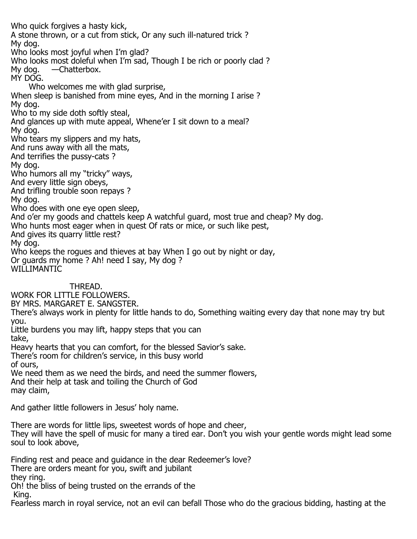Who quick forgives a hasty kick, A stone thrown, or a cut from stick, Or any such ill-natured trick ? My dog. Who looks most joyful when I'm glad? Who looks most doleful when I'm sad, Though I be rich or poorly clad ? My dog. —Chatterbox. MY DOG. Who welcomes me with glad surprise, When sleep is banished from mine eyes, And in the morning I arise ? My dog. Who to my side doth softly steal, And glances up with mute appeal, Whene'er I sit down to a meal? My dog. Who tears my slippers and my hats, And runs away with all the mats, And terrifies the pussy-cats ? My dog. Who humors all my "tricky" ways, And every little sign obeys, And trifling trouble soon repays ? My dog. Who does with one eye open sleep, And o'er my goods and chattels keep A watchful guard, most true and cheap? My dog. Who hunts most eager when in quest Of rats or mice, or such like pest, And gives its quarry little rest? My dog. Who keeps the rogues and thieves at bay When I go out by night or day, Or guards my home ? Ah! need I say, My dog ? WILLIMANTIC THREAD.

WORK FOR LITTLE FOLLOWERS.

BY MRS. MARGARET E. SANGSTER.

There's always work in plenty for little hands to do, Something waiting every day that none may try but you.

Little burdens you may lift, happy steps that you can

take,

Heavy hearts that you can comfort, for the blessed Savior's sake.

There's room for children's service, in this busy world

of ours,

We need them as we need the birds, and need the summer flowers,

And their help at task and toiling the Church of God

may claim,

And gather little followers in Jesus' holy name.

There are words for little lips, sweetest words of hope and cheer, They will have the spell of music for many a tired ear. Don't you wish your gentle words might lead some soul to look above,

Finding rest and peace and guidance in the dear Redeemer's love?

There are orders meant for you, swift and jubilant

they ring.

Oh! the bliss of being trusted on the errands of the King.

Fearless march in royal service, not an evil can befall Those who do the gracious bidding, hasting at the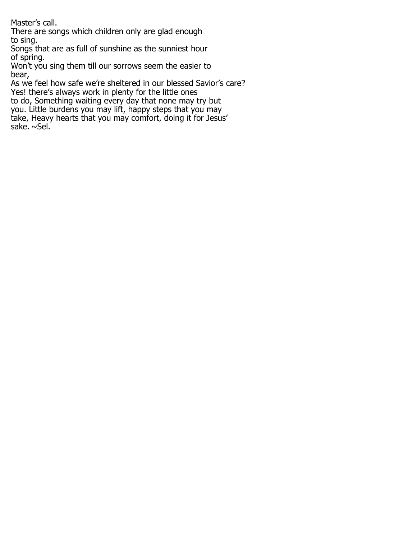Master's call.

There are songs which children only are glad enough to sing.

Songs that are as full of sunshine as the sunniest hour of spring.

Won't you sing them till our sorrows seem the easier to bear,

As we feel how safe we're sheltered in our blessed Savior's care? Yes! there's always work in plenty for the little ones

to do, Something waiting every day that none may try but you. Little burdens you may lift, happy steps that you may take, Heavy hearts that you may comfort, doing it for Jesus' sake. ~Sel.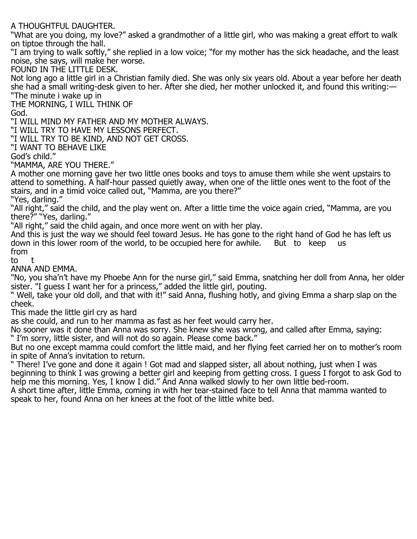A THOUGHTFUL DAUGHTER.

"What are you doing, my love?" asked a grandmother of a little girl, who was making a great effort to walk on tiptoe through the hall.

"I am trying to walk softly," she replied in a low voice; "for my mother has the sick headache, and the least noise, she says, will make her worse.

FOUND IN THE LITTLE DESK.

Not long ago a little girl in a Christian family died. She was only six years old. About a year before her death she had a small writing-desk given to her. After she died, her mother unlocked it, and found this writing:— "The minute i wake up in

THE MORNING, I WILL THINK OF

God.

"I WILL MIND MY FATHER AND MY MOTHER ALWAYS.

"I WILL TRY TO HAVE MY LESSONS PERFECT.

"I WILL TRY TO BE KIND, AND NOT GET CROSS.

"I WANT TO BEHAVE LIKE

God's child."

"MAMMA, ARE YOU THERE."

A mother one morning gave her two little ones books and toys to amuse them while she went upstairs to attend to something. A half-hour passed quietly away, when one of the little ones went to the foot of the stairs, and in a timid voice called out, "Mamma, are you there?"

"Yes, darling."

"All right," said the child, and the play went on. After a little time the voice again cried, "Mamma, are you there?" "Yes, darling."

"All right," said the child again, and once more went on with her play.

And this is just the way we should feel toward Jesus. He has gone to the right hand of God he has left us down in this lower room of the world, to be occupied here for awhile. But to keep us down in this lower room of the world, to be occupied here for awhile. But to keep us from

to t

ANNA AND EMMA.

"No, you sha'n't have my Phoebe Ann for the nurse girl," said Emma, snatching her doll from Anna, her older sister. "I guess I want her for a princess," added the little girl, pouting.

" Well, take your old doll, and that with it!" said Anna, flushing hotly, and giving Emma a sharp slap on the cheek.

This made the little girl cry as hard

as she could, and run to her mamma as fast as her feet would carry her.

No sooner was it done than Anna was sorry. She knew she was wrong, and called after Emma, saying:

" I'm sorry, little sister, and will not do so again. Please come back."

But no one except mamma could comfort the little maid, and her flying feet carried her on to mother's room in spite of Anna's invitation to return.

" There! I've gone and done it again ! Got mad and slapped sister, all about nothing, just when I was beginning to think I was growing a better girl and keeping from getting cross. I guess I forgot to ask God to help me this morning. Yes, I know I did." And Anna walked slowly to her own little bed-room.

A short time after, little Emma, coming in with her tear-stained face to tell Anna that mamma wanted to speak to her, found Anna on her knees at the foot of the little white bed.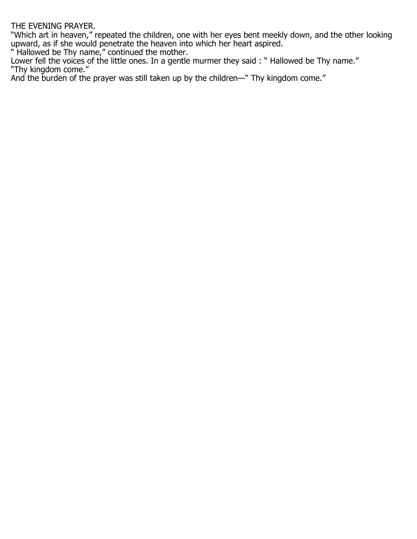THE EVENING PRAYER.

"Which art in heaven," repeated the children, one with her eyes bent meekly down, and the other looking upward, as if she would penetrate the heaven into which her heart aspired.

" Hallowed be Thy name," continued the mother.

Lower fell the voices of the little ones. In a gentle murmer they said : " Hallowed be Thy name." "Thy kingdom come."

And the burden of the prayer was still taken up by the children—" Thy kingdom come."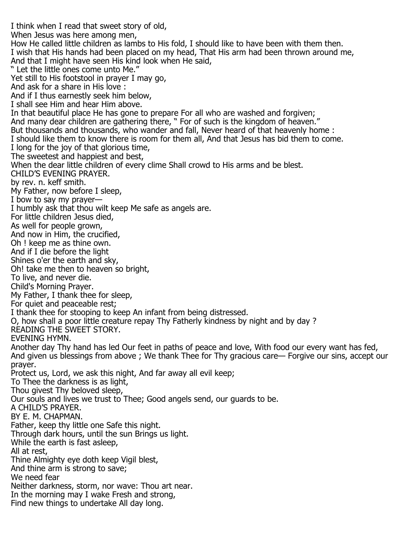I think when I read that sweet story of old, When Jesus was here among men, How He called little children as lambs to His fold, I should like to have been with them then. I wish that His hands had been placed on my head, That His arm had been thrown around me, And that I might have seen His kind look when He said, " Let the little ones come unto Me." Yet still to His footstool in prayer I may go, And ask for a share in His love : And if I thus earnestly seek him below, I shall see Him and hear Him above. In that beautiful place He has gone to prepare For all who are washed and forgiven; And many dear children are gathering there, " For of such is the kingdom of heaven." But thousands and thousands, who wander and fall, Never heard of that heavenly home : I should like them to know there is room for them all, And that Jesus has bid them to come. I long for the joy of that glorious time, The sweetest and happiest and best, When the dear little children of every clime Shall crowd to His arms and be blest. CHILD'S EVENING PRAYER. by rev. n. keff smith. My Father, now before I sleep, I bow to say my prayer— I humbly ask that thou wilt keep Me safe as angels are. For little children Jesus died, As well for people grown, And now in Him, the crucified, Oh ! keep me as thine own. And if I die before the light Shines o'er the earth and sky, Oh! take me then to heaven so bright, To live, and never die. Child's Morning Prayer. My Father, I thank thee for sleep, For quiet and peaceable rest; I thank thee for stooping to keep An infant from being distressed. O, how shall a poor little creature repay Thy Fatherly kindness by night and by day ? READING THE SWEET STORY. EVENING HYMN. Another day Thy hand has led Our feet in paths of peace and love, With food our every want has fed, And given us blessings from above ; We thank Thee for Thy gracious care— Forgive our sins, accept our prayer. Protect us, Lord, we ask this night, And far away all evil keep; To Thee the darkness is as light, Thou givest Thy beloved sleep, Our souls and lives we trust to Thee; Good angels send, our guards to be. A CHILD'S PRAYER. BY E. M. CHAPMAN. Father, keep thy little one Safe this night. Through dark hours, until the sun Brings us light. While the earth is fast asleep, All at rest, Thine Almighty eye doth keep Vigil blest, And thine arm is strong to save; We need fear Neither darkness, storm, nor wave: Thou art near. In the morning may I wake Fresh and strong, Find new things to undertake All day long.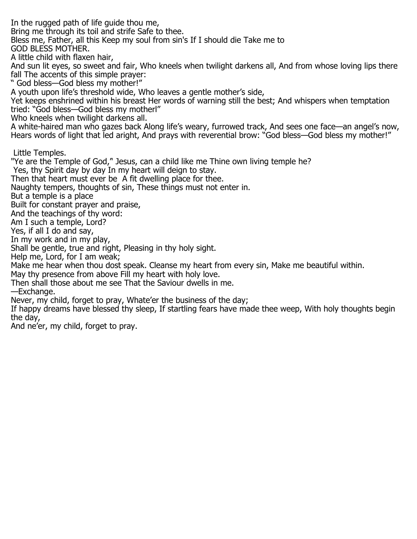In the rugged path of life guide thou me,

Bring me through its toil and strife Safe to thee.

Bless me, Father, all this Keep my soul from sin's If I should die Take me to

GOD BLESS MOTHER.

A little child with flaxen hair,

And sun lit eyes, so sweet and fair, Who kneels when twilight darkens all, And from whose loving lips there fall The accents of this simple prayer:

" God bless—God bless my mother!"

A youth upon life's threshold wide, Who leaves a gentle mother's side,

Yet keeps enshrined within his breast Her words of warning still the best; And whispers when temptation tried: "God bless—God bless my motherl"

Who kneels when twilight darkens all.

A white-haired man who gazes back Along life's weary, furrowed track, And sees one face—an angel's now, Hears words of light that led aright, And prays with reverential brow: "God bless—God bless my mother!"

Little Temples.

"Ye are the Temple of God,'' Jesus, can a child like me Thine own living temple he?

Yes, thy Spirit day by day In my heart will deign to stay.

Then that heart must ever be A fit dwelling place for thee.

Naughty tempers, thoughts of sin, These things must not enter in.

But a temple is a place

Built for constant prayer and praise,

And the teachings of thy word:

Am I such a temple, Lord?

Yes, if all I do and say,

In my work and in my play,

Shall be gentle, true and right, Pleasing in thy holy sight.

Help me, Lord, for I am weak;

Make me hear when thou dost speak. Cleanse my heart from every sin, Make me beautiful within.

May thy presence from above Fill my heart with holy love.

Then shall those about me see That the Saviour dwells in me.

—Exchange.

Never, my child, forget to pray, Whate'er the business of the day;

If happy dreams have blessed thy sleep, If startling fears have made thee weep, With holy thoughts begin the day,

And ne'er, my child, forget to pray.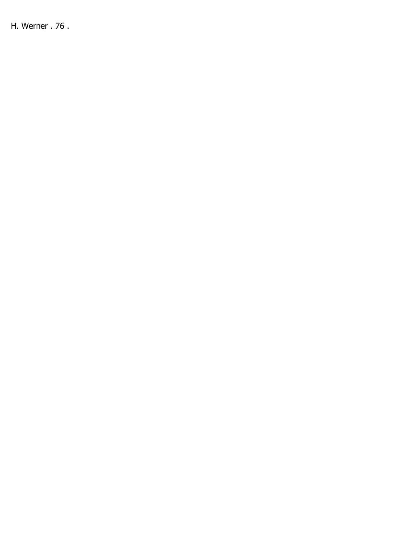H. Werner . 76 .